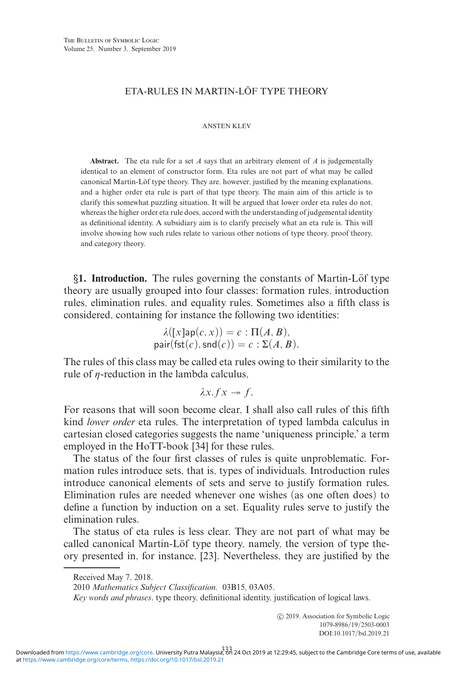# ETA-RULES IN MARTIN-LÖF TYPE THEORY

ANSTEN KLEV

**Abstract.** The eta rule for a set *A* says that an arbitrary element of *A* is judgementally identical to an element of constructor form. Eta rules are not part of what may be called canonical Martin-Löf type theory. They are, however, justified by the meaning explanations, and a higher order eta rule is part of that type theory. The main aim of this article is to clarify this somewhat puzzling situation. It will be argued that lower order eta rules do not, whereas the higher order eta rule does, accord with the understanding of judgemental identity as definitional identity. A subsidiary aim is to clarify precisely what an eta rule is. This will involve showing how such rules relate to various other notions of type theory, proof theory, and category theory.

*§***1. Introduction.** The rules governing the constants of Martin-Lof type ¨ theory are usually grouped into four classes: formation rules, introduction rules, elimination rules, and equality rules. Sometimes also a fifth class is considered, containing for instance the following two identities:

$$
\lambda([\mathrm{x}]\mathsf{ap}(c, x)) = c : \Pi(A, B),
$$
  
pair(fst(c), smd(c)) = c :  $\Sigma(A, B)$ .

The rules of this class may be called eta rules owing to their similarity to the rule of  $\eta$ -reduction in the lambda calculus,

$$
\lambda x.fx \twoheadrightarrow f.
$$

For reasons that will soon become clear, I shall also call rules of this fifth kind *lower order* eta rules. The interpretation of typed lambda calculus in cartesian closed categories suggests the name 'uniqueness principle,' a term employed in the HoTT-book [34] for these rules.

The status of the four first classes of rules is quite unproblematic. Formation rules introduce sets, that is, types of individuals. Introduction rules introduce canonical elements of sets and serve to justify formation rules. Elimination rules are needed whenever one wishes (as one often does) to define a function by induction on a set. Equality rules serve to justify the elimination rules.

The status of eta rules is less clear. They are not part of what may be called canonical Martin-Löf type theory, namely, the version of type theory presented in, for instance, [23]. Nevertheless, they are justified by the

2010 *Mathematics Subject Classification.* 03B15, 03A05.

*Key words and phrases*. type theory, definitional identity, justification of logical laws.

Received May 7, 2018.

<sup>-</sup>c 2019, Association for Symbolic Logic 1079-8986/19/2503-0003 DOI:10.1017/bsl.2019.21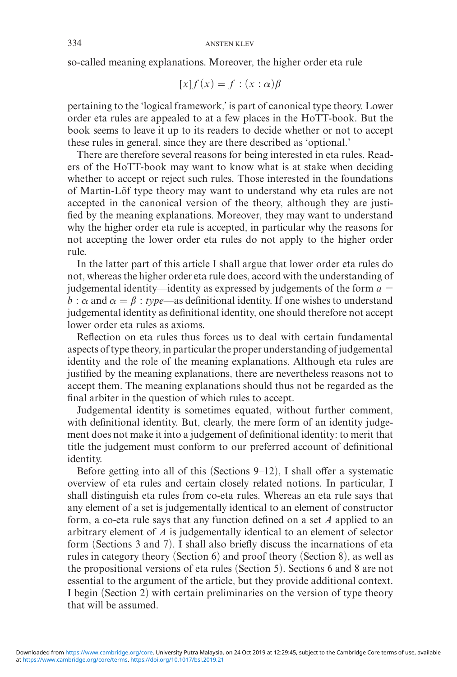so-called meaning explanations. Moreover, the higher order eta rule

$$
[x]f(x) = f : (x : \alpha)\beta
$$

pertaining to the 'logical framework,' is part of canonical type theory. Lower order eta rules are appealed to at a few places in the HoTT-book. But the book seems to leave it up to its readers to decide whether or not to accept these rules in general, since they are there described as 'optional.'

There are therefore several reasons for being interested in eta rules. Readers of the HoTT-book may want to know what is at stake when deciding whether to accept or reject such rules. Those interested in the foundations of Martin-Löf type theory may want to understand why eta rules are not accepted in the canonical version of the theory, although they are justified by the meaning explanations. Moreover, they may want to understand why the higher order eta rule is accepted, in particular why the reasons for not accepting the lower order eta rules do not apply to the higher order rule.

In the latter part of this article I shall argue that lower order eta rules do not, whereas the higher order eta rule does, accord with the understanding of judgemental identity—identity as expressed by judgements of the form  $a =$ *b* :  $\alpha$  and  $\alpha = \beta$  : *type*—as definitional identity. If one wishes to understand judgemental identity as definitional identity, one should therefore not accept lower order eta rules as axioms.

Reflection on eta rules thus forces us to deal with certain fundamental aspects of type theory, in particular the proper understanding of judgemental identity and the role of the meaning explanations. Although eta rules are justified by the meaning explanations, there are nevertheless reasons not to accept them. The meaning explanations should thus not be regarded as the final arbiter in the question of which rules to accept.

Judgemental identity is sometimes equated, without further comment, with definitional identity. But, clearly, the mere form of an identity judgement does not make it into a judgement of definitional identity: to merit that title the judgement must conform to our preferred account of definitional identity.

Before getting into all of this (Sections 9–12), I shall offer a systematic overview of eta rules and certain closely related notions. In particular, I shall distinguish eta rules from co-eta rules. Whereas an eta rule says that any element of a set is judgementally identical to an element of constructor form, a co-eta rule says that any function defined on a set *A* applied to an arbitrary element of *A* is judgementally identical to an element of selector form (Sections 3 and 7). I shall also briefly discuss the incarnations of eta rules in category theory (Section 6) and proof theory (Section 8), as well as the propositional versions of eta rules (Section 5). Sections 6 and 8 are not essential to the argument of the article, but they provide additional context. I begin (Section 2) with certain preliminaries on the version of type theory that will be assumed.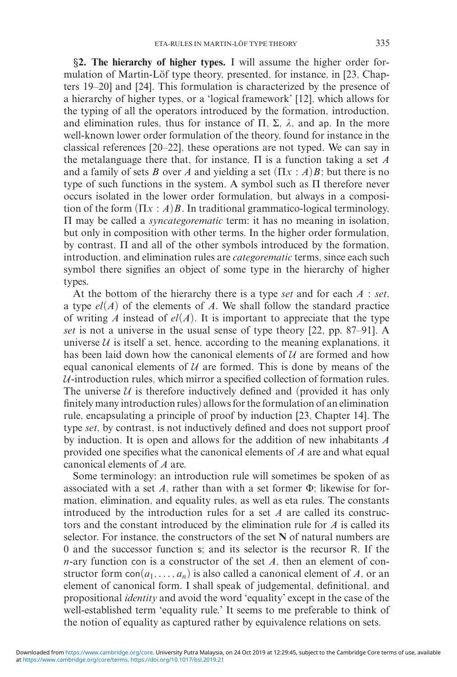*§***2. The hierarchy of higher types.** I will assume the higher order formulation of Martin-Löf type theory, presented, for instance, in [23, Chapters 19–20] and [24]. This formulation is characterized by the presence of a hierarchy of higher types, or a 'logical framework' [12], which allows for the typing of all the operators introduced by the formation, introduction, and elimination rules, thus for instance of  $\Pi$ ,  $\Sigma$ ,  $\lambda$ , and ap. In the more well-known lower order formulation of the theory, found for instance in the classical references [20–22], these operations are not typed. We can say in the metalanguage there that, for instance, Π is a function taking a set *A* and a family of sets *B* over *A* and yielding a set  $(\Pi x : A)B$ ; but there is no type of such functions in the system. A symbol such as Π therefore never occurs isolated in the lower order formulation, but always in a composition of the form  $(\Pi x : A)B$ . In traditional grammatico-logical terminology, Π may be called a *syncategorematic* term: it has no meaning in isolation, but only in composition with other terms. In the higher order formulation, by contrast, Π and all of the other symbols introduced by the formation, introduction, and elimination rules are *categorematic* terms, since each such symbol there signifies an object of some type in the hierarchy of higher types.

At the bottom of the hierarchy there is a type *set* and for each *A* : *set*, a type  $el(A)$  of the elements of A. We shall follow the standard practice of writing *A* instead of  $el(A)$ . It is important to appreciate that the type *set* is not a universe in the usual sense of type theory [22, pp. 87–91]. A universe  $U$  is itself a set, hence, according to the meaning explanations, it has been laid down how the canonical elements of  $U$  are formed and how equal canonical elements of  $U$  are formed. This is done by means of the  $U$ -introduction rules, which mirror a specified collection of formation rules. The universe  $U$  is therefore inductively defined and (provided it has only finitely many introduction rules) allows for the formulation of an elimination rule, encapsulating a principle of proof by induction [23, Chapter 14]. The type *set*, by contrast, is not inductively defined and does not support proof by induction. It is open and allows for the addition of new inhabitants *A* provided one specifies what the canonical elements of *A* are and what equal canonical elements of *A* are.

Some terminology: an introduction rule will sometimes be spoken of as associated with a set *A*, rather than with a set former Φ; likewise for formation, elimination, and equality rules, as well as eta rules. The constants introduced by the introduction rules for a set *A* are called its constructors and the constant introduced by the elimination rule for *A* is called its selector. For instance, the constructors of the set **N** of natural numbers are 0 and the successor function s; and its selector is the recursor R. If the *n*-ary function con is a constructor of the set *A*, then an element of constructor form  $con(a_1, \ldots, a_n)$  is also called a canonical element of *A*, or an element of canonical form. I shall speak of judgemental, definitional, and propositional *identity* and avoid the word 'equality' except in the case of the well-established term 'equality rule.' It seems to me preferable to think of the notion of equality as captured rather by equivalence relations on sets.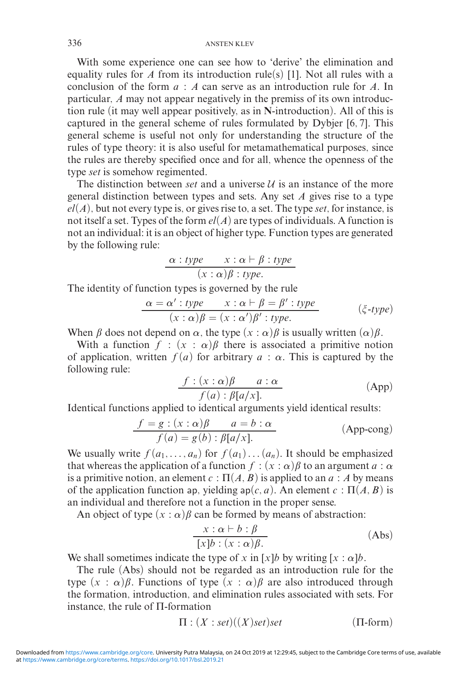With some experience one can see how to 'derive' the elimination and equality rules for *A* from its introduction rule(s) [1]. Not all rules with a conclusion of the form *a* : *A* can serve as an introduction rule for *A*. In particular, *A* may not appear negatively in the premiss of its own introduction rule (it may well appear positively, as in **N**-introduction). All of this is captured in the general scheme of rules formulated by Dybjer [6, 7]. This general scheme is useful not only for understanding the structure of the rules of type theory: it is also useful for metamathematical purposes, since the rules are thereby specified once and for all, whence the openness of the type *set* is somehow regimented.

The distinction between *set* and a universe  $U$  is an instance of the more general distinction between types and sets. Any set *A* gives rise to a type  $el(A)$ , but not every type is, or gives rise to, a set. The type *set*, for instance, is not itself a set. Types of the form  $el(A)$  are types of individuals. A function is not an individual: it is an object of higher type. Function types are generated by the following rule:

$$
\frac{\alpha : type \quad x : \alpha \vdash \beta : type}{(x : \alpha)\beta : type}.
$$

The identity of function types is governed by the rule

$$
\frac{\alpha = \alpha' : type \quad x : \alpha \vdash \beta = \beta' : type}{(x : \alpha)\beta = (x : \alpha')\beta' : type} \qquad (\xi \text{-type})
$$

When  $\beta$  does not depend on  $\alpha$ , the type  $(x : \alpha)\beta$  is usually written  $(\alpha)\beta$ .

With a function  $f : (x : \alpha)\beta$  there is associated a primitive notion of application, written  $f(a)$  for arbitrary  $a : \alpha$ . This is captured by the following rule:

$$
\frac{f:(x:\alpha)\beta \qquad a:\alpha}{f(a):\beta[a/x].} \tag{App}
$$

Identical functions applied to identical arguments yield identical results:

$$
\frac{f = g : (x : \alpha)\beta \qquad a = b : \alpha}{f(a) = g(b) : \beta[a/x].}
$$
 (App-cong)

We usually write  $f(a_1, \ldots, a_n)$  for  $f(a_1) \ldots (a_n)$ . It should be emphasized that whereas the application of a function  $f : (x : \alpha) \beta$  to an argument  $a : \alpha$ is a primitive notion, an element  $c : \Pi(A, B)$  is applied to an  $a : A$  by means of the application function ap, yielding  $ap(c, a)$ . An element  $c : \Pi(A, B)$  is an individual and therefore not a function in the proper sense.

An object of type  $(x : \alpha)$   $\beta$  can be formed by means of abstraction:

$$
\frac{x : \alpha \vdash b : \beta}{[x]b : (x : \alpha)\beta} \tag{Abs}
$$

We shall sometimes indicate the type of *x* in [*x*]*b* by writing [*x* :  $\alpha$ ]*b*.

The rule (Abs) should not be regarded as an introduction rule for the type  $(x : \alpha)\beta$ . Functions of type  $(x : \alpha)\beta$  are also introduced through the formation, introduction, and elimination rules associated with sets. For instance, the rule of Π-formation

$$
\Pi : (X : set)((X) set) set \qquad (\Pi\text{-form})
$$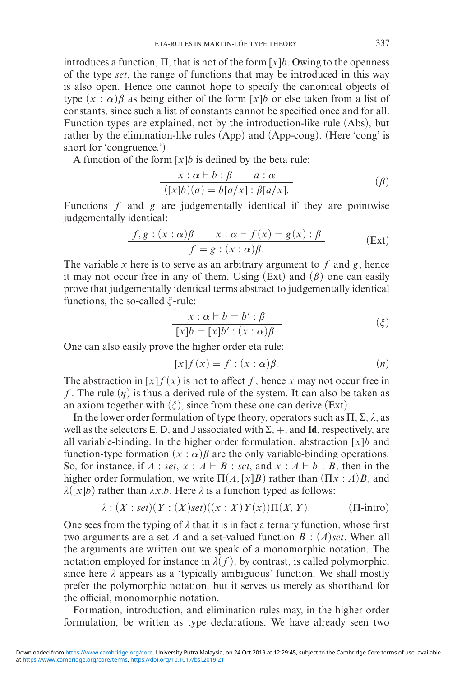introduces a function,  $\Pi$ , that is not of the form  $[x]$ *b*. Owing to the openness of the type *set*, the range of functions that may be introduced in this way is also open. Hence one cannot hope to specify the canonical objects of type  $(x : \alpha)\beta$  as being either of the form  $[x]$ *b* or else taken from a list of constants, since such a list of constants cannot be specified once and for all. Function types are explained, not by the introduction-like rule (Abs), but rather by the elimination-like rules (App) and (App-cong). (Here 'cong' is short for 'congruence.')

A function of the form [*x*]*b* is defined by the beta rule:

$$
\frac{x : \alpha \vdash b : \beta \qquad a : \alpha}{([x]b)(a) = b[a/x] : \beta[a/x].}
$$
\n
$$
\tag{β}
$$

Functions *f* and *g* are judgementally identical if they are pointwise judgementally identical:

$$
\frac{f,g:(x:\alpha)\beta \qquad x:\alpha \vdash f(x) = g(x):\beta}{f = g:(x:\alpha)\beta}.
$$
 (Ext)

The variable *x* here is to serve as an arbitrary argument to *f* and *g*, hence it may not occur free in any of them. Using  $(Ext)$  and  $(\beta)$  one can easily prove that judgementally identical terms abstract to judgementally identical functions, the so-called  $\xi$ -rule:

$$
x : \alpha \vdash b = b' : \beta
$$
  
[x]b = [x]b' : (x : \alpha)\beta. (ξ)

One can also easily prove the higher order eta rule:

$$
[x]f(x) = f : (x : \alpha)\beta.
$$
 (q)

The abstraction in  $[x]f(x)$  is not to affect f, hence x may not occur free in *f*. The rule  $(n)$  is thus a derived rule of the system. It can also be taken as an axiom together with  $(\xi)$ , since from these one can derive (Ext).

In the lower order formulation of type theory, operators such as  $\Pi$ ,  $\Sigma$ ,  $\lambda$ , as well as the selectors E, D, and J associated with  $\Sigma$ ,  $+$ , and **Id**, respectively, are all variable-binding. In the higher order formulation, abstraction  $[x]$ *b* and function-type formation  $(x : \alpha)\beta$  are the only variable-binding operations. So, for instance, if  $A : set, x : A \vdash B : set$ , and  $x : A \vdash b : B$ , then in the higher order formulation, we write  $\Pi(A,[x]B)$  rather than  $(\Pi x : A)B$ , and  $\lambda([x]b)$  rather than  $\lambda x.b$ . Here  $\lambda$  is a function typed as follows:

$$
\lambda : (X : set)(Y : (X)set)((x : X)Y(x))\Pi(X, Y). \tag{T-intro}
$$

One sees from the typing of  $\lambda$  that it is in fact a ternary function, whose first two arguments are a set *A* and a set-valued function *B* : (*A*)*set*. When all the arguments are written out we speak of a monomorphic notation. The notation employed for instance in  $\lambda(f)$ , by contrast, is called polymorphic, since here  $\lambda$  appears as a 'typically ambiguous' function. We shall mostly prefer the polymorphic notation, but it serves us merely as shorthand for the official, monomorphic notation.

Formation, introduction, and elimination rules may, in the higher order formulation, be written as type declarations. We have already seen two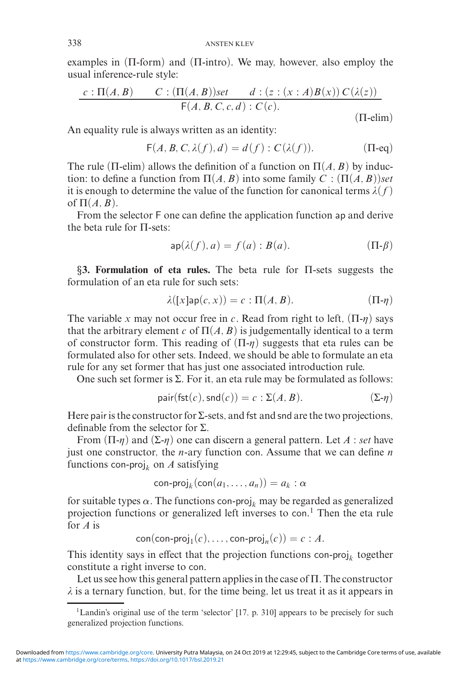examples in  $(\Pi$ -form) and  $(\Pi$ -intro). We may, however, also employ the usual inference-rule style:

$$
\frac{c : \Pi(A, B) \qquad C : (\Pi(A, B))set \qquad d : (z : (x : A)B(x)) C(\lambda(z))}{\mathsf{F}(A, B, C, c, d) : C(c).}
$$
\n(II-elim)

An equality rule is always written as an identity:

$$
\mathsf{F}(A, B, C, \lambda(f), d) = d(f) : C(\lambda(f)). \tag{II-eq}
$$

The rule ( $\Pi$ -elim) allows the definition of a function on  $\Pi(A, B)$  by induction: to define a function from  $\Pi(A, B)$  into some family  $C : (\Pi(A, B))$ *set* it is enough to determine the value of the function for canonical terms  $\lambda(f)$ of  $\Pi(A, B)$ .

From the selector F one can define the application function ap and derive the beta rule for Π-sets:

$$
ap(\lambda(f), a) = f(a) : B(a). \tag{Pi-\beta}
$$

*§***3. Formulation of eta rules.** The beta rule for Π-sets suggests the formulation of an eta rule for such sets:

$$
\lambda([x] \mathsf{ap}(c, x)) = c : \Pi(A, B). \tag{11- $\eta$ )
$$

The variable *x* may not occur free in *c*. Read from right to left,  $(\Pi - \eta)$  says that the arbitrary element *c* of  $\Pi(A, B)$  is judgementally identical to a term of constructor form. This reading of  $(\Pi - \eta)$  suggests that eta rules can be formulated also for other sets. Indeed, we should be able to formulate an eta rule for any set former that has just one associated introduction rule.

One such set former is  $\Sigma$ . For it, an eta rule may be formulated as follows:

$$
pair(fst(c),snd(c)) = c : \Sigma(A, B). \qquad (\Sigma - \eta)
$$

Here pair is the constructor for  $\Sigma$ -sets, and fst and snd are the two projections, definable from the selector for Σ.

From  $(\Pi - \eta)$  and  $(\Sigma - \eta)$  one can discern a general pattern. Let *A* : *set* have just one constructor, the *n*-ary function con. Assume that we can define *n* functions con-proj<sub>k</sub> on  $A$  satisfying

$$
\mathsf{con}\text{-}\mathsf{proj}_k(\mathsf{con}(a_1,\ldots,a_n))=a_k:\alpha
$$

for suitable types  $\alpha$ . The functions con-proj<sub>k</sub> may be regarded as generalized projection functions or generalized left inverses to con. <sup>1</sup> Then the eta rule for *A* is

 $con(\text{con-proj}_1(c), \ldots, \text{con-proj}_n(c)) = c : A.$ 

This identity says in effect that the projection functions con-proj<sub>k</sub> together constitute a right inverse to con.

Let us see how this general pattern applies in the case of  $\Pi$ . The constructor  $\lambda$  is a ternary function, but, for the time being, let us treat it as it appears in

<sup>&</sup>lt;sup>1</sup>Landin's original use of the term 'selector' [17, p. 310] appears to be precisely for such generalized projection functions.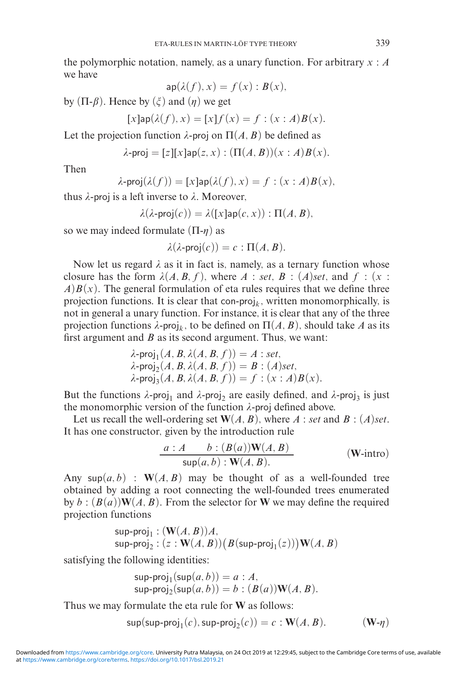the polymorphic notation, namely, as a unary function. For arbitrary *x* : *A* we have

$$
\mathsf{ap}(\lambda(f),x)=f(x):B(x),
$$

by  $(\Pi - \beta)$ . Hence by  $(\xi)$  and  $(\eta)$  we get

$$
[x] \mathsf{ap}(\lambda(f), x) = [x] f(x) = f : (x : A) B(x).
$$

Let the projection function  $\lambda$ -proj on  $\Pi(A, B)$  be defined as

 $\lambda$ -proj = [*z*][*x*]ap(*z*, *x*) :  $(\Pi(A, B))(x : A)B(x)$ .

Then

$$
\lambda\text{-proj}(\lambda(f))=[x]\text{ap}(\lambda(f),x)=f:(x:A)B(x),
$$

thus λ-proj is a left inverse to λ. Moreover,

$$
\lambda(\lambda\text{-proj}(c)) = \lambda([x]\text{ap}(c,x)) : \Pi(A,B),
$$

so we may indeed formulate  $(\Pi - \eta)$  as

$$
\lambda(\lambda\text{-proj}(c)) = c : \Pi(A, B).
$$

Now let us regard  $\lambda$  as it in fact is, namely, as a ternary function whose closure has the form  $\lambda(A, B, f)$ , where  $A : set, B : (A)$ *set*, and  $f : (x :$  $A$ ) $B(x)$ . The general formulation of eta rules requires that we define three projection functions. It is clear that con-proj<sub>k</sub>, written monomorphically, is not in general a unary function. For instance, it is clear that any of the three projection functions  $\lambda$ -proj<sub>k</sub>, to be defined on  $\Pi(A, B)$ , should take *A* as its first argument and *B* as its second argument. Thus, we want:

$$
\lambda\text{-proj}_1(A, B, \lambda(A, B, f)) = A : set,
$$
  
\n
$$
\lambda\text{-proj}_2(A, B, \lambda(A, B, f)) = B : (A)set,
$$
  
\n
$$
\lambda\text{-proj}_3(A, B, \lambda(A, B, f)) = f : (x : A)B(x).
$$

But the functions  $\lambda$ -proj<sub>1</sub> and  $\lambda$ -proj<sub>2</sub> are easily defined, and  $\lambda$ -proj<sub>3</sub> is just the monomorphic version of the function  $\lambda$ -proj defined above.

Let us recall the well-ordering set  $W(A, B)$ , where *A* : *set* and *B* : (*A*)*set*. It has one constructor, given by the introduction rule

$$
\frac{a:A \qquad b:(B(a))\mathbf{W}(A,B)}{\sup(a,b):\mathbf{W}(A,B)} \qquad (\mathbf{W}\text{-intro})
$$

Any sup $(a, b)$ :  $W(A, B)$  may be thought of as a well-founded tree obtained by adding a root connecting the well-founded trees enumerated by  $b : (B(a))W(A, B)$ . From the selector for W we may define the required projection functions

$$
\begin{array}{l} \mathsf{sup}\text{-}\mathsf{proj}_1: (\mathbf{W}(A,B))A, \\ \mathsf{sup}\text{-}\mathsf{proj}_2: (z:\mathbf{W}(A,B)) \big(B(\mathsf{sup}\text{-}\mathsf{proj}_1(z))\big) \mathbf{W}(A,B) \end{array}
$$

satisfying the following identities:

$$
sup-proj1(sup(a, b)) = a : A,
$$
  
\n
$$
sup-proj2(sup(a, b)) = b : (B(a))W(A, B).
$$

Thus we may formulate the eta rule for **W** as follows:

$$
\mathsf{sup}(\mathsf{sup}\text{-}\mathsf{proj}_1(c), \mathsf{sup}\text{-}\mathsf{proj}_2(c)) = c : \mathbf{W}(A, B). \qquad (\mathbf{W}\text{-}\eta)
$$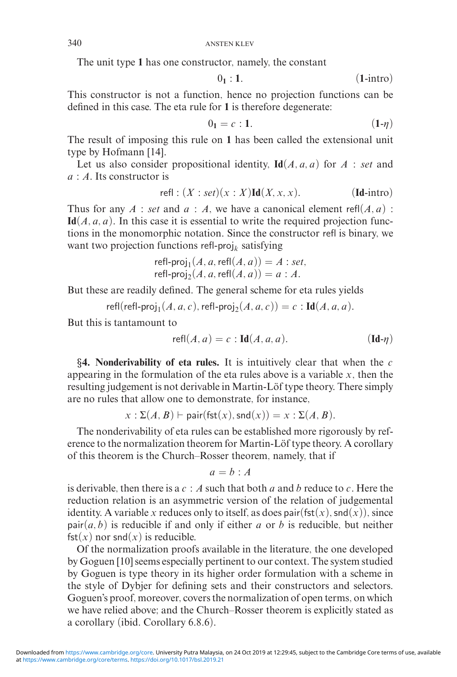The unit type **1** has one constructor, namely, the constant

$$
0_1:1. \t(1\text{-intro})
$$

This constructor is not a function, hence no projection functions can be defined in this case. The eta rule for **1** is therefore degenerate:

$$
0_1 = c : 1. \tag{1-η)}
$$

The result of imposing this rule on **1** has been called the extensional unit type by Hofmann [14].

Let us also consider propositional identity,  $\text{Id}(A, a, a)$  for  $A$ : *set* and *a* : *A*. Its constructor is

$$
\text{refl}: (X:set)(x:X)\text{Id}(X,x,x). \qquad (\text{Id-intro})
$$

Thus for any  $A$  : *set* and  $a : A$ , we have a canonical element refl $(A, a)$ :  $\text{Id}(A, a, a)$ . In this case it is essential to write the required projection functions in the monomorphic notation. Since the constructor refl is binary, we want two projection functions refl-proj*<sup>k</sup>* satisfying

refl-proj<sub>1</sub>
$$
(A, a, \text{refl}(A, a)) = A : set,
$$
  
refl-proj<sub>2</sub> $(A, a, \text{refl}(A, a)) = a : A.$ 

But these are readily defined. The general scheme for eta rules yields

 $refl(refl-proj<sub>1</sub>(A, a, c), refl-proj<sub>2</sub>(A, a, c)) = c$ : **Id**(*A*, *a*, *a*).

But this is tantamount to

$$
\text{refl}(A, a) = c : \text{Id}(A, a, a). \tag{Id- $\eta$ )
$$

*§***4. Nonderivability of eta rules.** It is intuitively clear that when the *c* appearing in the formulation of the eta rules above is a variable  $x$ , then the resulting judgement is not derivable in Martin-Löf type theory. There simply are no rules that allow one to demonstrate, for instance,

$$
x: \Sigma(A, B) \vdash \mathsf{pair}(\mathsf{fst}(x), \mathsf{snd}(x)) = x: \Sigma(A, B).
$$

The nonderivability of eta rules can be established more rigorously by reference to the normalization theorem for Martin-Löf type theory. A corollary of this theorem is the Church–Rosser theorem, namely, that if

$$
a=b:A
$$

is derivable, then there is a *c* : *A* such that both *a* and *b* reduce to *c*. Here the reduction relation is an asymmetric version of the relation of judgemental identity. A variable *x* reduces only to itself, as does pair( $fst(x)$ , snd(*x*)), since  $pair(a, b)$  is reducible if and only if either *a* or *b* is reducible, but neither  $fst(x)$  nor snd $(x)$  is reducible.

Of the normalization proofs available in the literature, the one developed by Goguen [10] seems especially pertinent to our context. The system studied by Goguen is type theory in its higher order formulation with a scheme in the style of Dybjer for defining sets and their constructors and selectors. Goguen's proof, moreover, covers the normalization of open terms, on which we have relied above; and the Church–Rosser theorem is explicitly stated as a corollary (ibid. Corollary 6.8.6).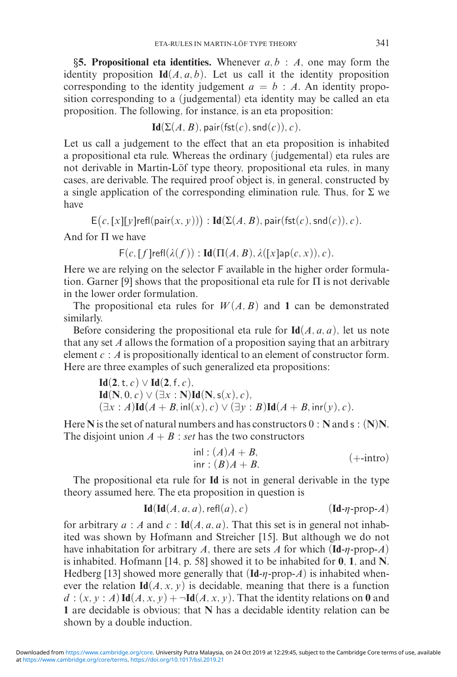*§***5. Propositional eta identities.** Whenever *a, b* : *A*, one may form the identity proposition  $Id(A, a, b)$ . Let us call it the identity proposition corresponding to the identity judgement  $a = b : A$ . An identity proposition corresponding to a (judgemental) eta identity may be called an eta proposition. The following, for instance, is an eta proposition:

$$
Id(\Sigma(A, B), \text{pair}(\text{fst}(c), \text{snd}(c)), c).
$$

Let us call a judgement to the effect that an eta proposition is inhabited a propositional eta rule. Whereas the ordinary (judgemental) eta rules are not derivable in Martin-Löf type theory, propositional eta rules, in many cases, are derivable. The required proof object is, in general, constructed by a single application of the corresponding elimination rule. Thus, for  $\Sigma$  we have

$$
E(c, [x][y]
$$
refl(pair $(x, y))$ ) : Id $(\Sigma(A, B), \text{pair}(\text{fst}(c), \text{snd}(c)), c)$ .

And for Π we have

 $F(c, [f]refl(\lambda(f)) : Id(\Pi(A, B), \lambda([x]ap(c, x)), c).$ 

Here we are relying on the selector F available in the higher order formulation. Garner [9] shows that the propositional eta rule for  $\Pi$  is not derivable in the lower order formulation.

The propositional eta rules for  $W(A, B)$  and 1 can be demonstrated similarly.

Before considering the propositional eta rule for  $\text{Id}(A, a, a)$ , let us note that any set *A* allows the formation of a proposition saying that an arbitrary element *c* : *A* is propositionally identical to an element of constructor form. Here are three examples of such generalized eta propositions:

$$
\mathbf{Id}(\mathbf{2}, \mathsf{t}, c) \vee \mathbf{Id}(\mathbf{2}, \mathsf{f}, c), \n\mathbf{Id}(\mathbf{N}, 0, c) \vee (\exists x : \mathbf{N}) \mathbf{Id}(\mathbf{N}, \mathsf{s}(x), c), \n(\exists x : A) \mathbf{Id}(A + B, \mathrm{inl}(x), c) \vee (\exists y : B) \mathbf{Id}(A + B, \mathrm{inr}(y), c).
$$

Here **N** is the set of natural numbers and has constructors 0 : **N** and s : (**N**)**N**. The disjoint union  $A + B$ : *set* has the two constructors

$$
inl: (A)A + B,
$$
  
inr: (B)A + B. (+-intro)

The propositional eta rule for **Id** is not in general derivable in the type theory assumed here. The eta proposition in question is

$$
\mathbf{Id}(\mathbf{Id}(A, a, a), \mathsf{refl}(a), c) \qquad (\mathbf{Id} \cdot \eta \cdot \text{prop-}A)
$$

for arbitrary  $a : A$  and  $c : \text{Id}(A, a, a)$ . That this set is in general not inhabited was shown by Hofmann and Streicher [15]. But although we do not have inhabitation for arbitrary *A*, there are sets *A* for which  $(\text{Id} - \eta - \text{prop} - A)$ is inhabited. Hofmann [14, p. 58] showed it to be inhabited for **0**, **1**, and **N**. Hedberg [13] showed more generally that  $(\text{Id}-\eta\text{-prop-}A)$  is inhabited whenever the relation  $\text{Id}(A, x, y)$  is decidable, meaning that there is a function  $d:(x, y : A)$  **Id** $(A, x, y)$  +  $\neg$ **Id** $(A, x, y)$ . That the identity relations on **0** and **1** are decidable is obvious; that **N** has a decidable identity relation can be shown by a double induction.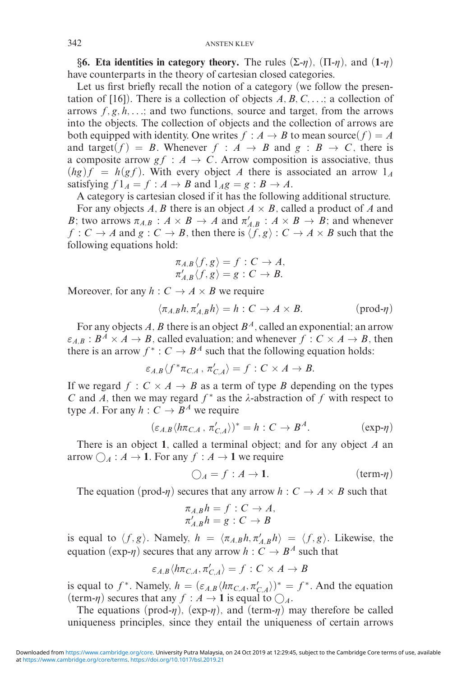**§6. Eta identities in category theory.** The rules  $(\Sigma-\eta)$ ,  $(\Pi-\eta)$ , and  $(1-\eta)$ have counterparts in the theory of cartesian closed categories.

Let us first briefly recall the notion of a category (we follow the presentation of  $[16]$ ). There is a collection of objects  $A, B, C, \ldots$ ; a collection of arrows  $f, g, h, \ldots$ ; and two functions, source and target, from the arrows into the objects. The collection of objects and the collection of arrows are both equipped with identity. One writes  $f : A \rightarrow B$  to mean source $(f) = A$ and target(*f*) = *B*. Whenever  $f : A \rightarrow B$  and  $g : B \rightarrow C$ , there is a composite arrow  $gf : A \to C$ . Arrow composition is associative, thus  $(hg)f = h(gf)$ . With every object *A* there is associated an arrow  $1_A$ satisfying  $f1_A = f : A \rightarrow B$  and  $1_Ag = g : B \rightarrow A$ .

A category is cartesian closed if it has the following additional structure. For any objects A, B there is an object  $A \times B$ , called a product of A and *B*; two arrows  $\pi_{A,B}$ :  $A \times B \to A$  and  $\pi'_{A,B}$ :  $A \times B \to B$ ; and whenever  $f: C \to A$  and  $g: C \to B$ , then there is  $\langle f, g \rangle: C \to A \times B$  such that the following equations hold:

$$
\pi_{A,B} \langle f, g \rangle = f : C \to A,
$$
  

$$
\pi'_{A,B} \langle f, g \rangle = g : C \to B.
$$

Moreover, for any  $h: C \to A \times B$  we require

$$
\langle \pi_{A,B}h, \pi'_{A,B}h \rangle = h : C \to A \times B. \qquad (prod \neg \eta)
$$

For any objects *A, B* there is an object *B<sup>A</sup>*, called an exponential; an arrow  $\epsilon_{A,B}: B^A \times A \to B$ , called evaluation; and whenever  $f: C \times A \to B$ , then there is an arrow  $f^* : C \to B^A$  such that the following equation holds:

$$
\varepsilon_{A,B}\langle f^*\pi_{C,A}\, ,\, \pi'_{C,A}\rangle=f:C\times A\to B.
$$

If we regard  $f : C \times A \rightarrow B$  as a term of type *B* depending on the types *C* and *A*, then we may regard  $f^*$  as the  $\lambda$ -abstraction of  $f$  with respect to type *A*. For any  $h: C \to B^A$  we require

$$
(\varepsilon_{A,B} \langle h\pi_{C,A}, \pi'_{C,A} \rangle)^* = h : C \to B^A.
$$
 (exp- $\eta$ )

There is an object **1**, called a terminal object; and for any object *A* an arrow  $\bigcirc_{A}: A \rightarrow 1$ . For any  $f: A \rightarrow 1$  we require

$$
\bigcirc_{A} = f : A \to \mathbf{1}.\tag{term- $\eta$ )}
$$

The equation (prod- $\eta$ ) secures that any arrow  $h : C \to A \times B$  such that

$$
\pi_{A,B} h = f : C \to A,
$$
  

$$
\pi'_{A,B} h = g : C \to B
$$

is equal to  $\langle f, g \rangle$ . Namely,  $h = \langle \pi_{A,B} h, \pi'_{A,B} h \rangle = \langle f, g \rangle$ . Likewise, the equation (exp- $\eta$ ) secures that any arrow  $h : C \rightarrow B^A$  such that

$$
\varepsilon_{A,B}\langle h\pi_{C,A},\pi'_{C,A}\rangle=f:C\times A\to B
$$

is equal to *f*<sup>∗</sup>. Namely,  $h = (\varepsilon_{A,B} \langle h \pi_{C,A}, \pi'_{C,A} \rangle)^* = f^*$ . And the equation (term- $\eta$ ) secures that any  $f : A \to \mathbf{1}$  is equal to  $\bigcirc_{A}$ .

The equations (prod- $\eta$ ), (exp- $\eta$ ), and (term- $\eta$ ) may therefore be called uniqueness principles, since they entail the uniqueness of certain arrows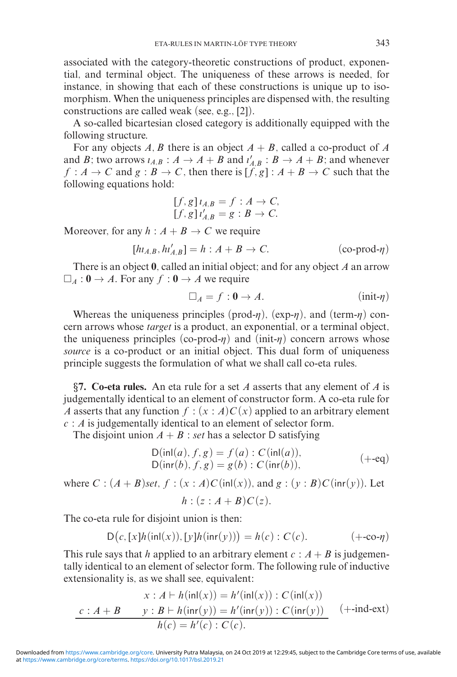associated with the category-theoretic constructions of product, exponential, and terminal object. The uniqueness of these arrows is needed, for instance, in showing that each of these constructions is unique up to isomorphism. When the uniqueness principles are dispensed with, the resulting constructions are called weak (see, e.g., [2]).

A so-called bicartesian closed category is additionally equipped with the following structure.

For any objects  $A, B$  there is an object  $A + B$ , called a co-product of  $A$ and *B*; two arrows  $\iota_{A,B}$ :  $A \to A + B$  and  $\iota'_{A,B}$ :  $B \to A + B$ ; and whenever  $f : A \to C$  and  $g : B \to C$ , then there is  $[f, g] : A + B \to C$  such that the following equations hold:

$$
[f, g] \iota_{A,B} = f : A \to C,
$$
  

$$
[f, g] \iota'_{A,B} = g : B \to C.
$$

Moreover, for any  $h : A + B \to C$  we require

$$
[h\iota_{A,B}, h\iota'_{A,B}] = h : A + B \to C. \tag{co-product- $\eta$ )
$$

There is an object **0**, called an initial object; and for any object *A* an arrow  $\Box_A$ :  $\mathbf{0} \to A$ . For any  $f : \mathbf{0} \to A$  we require

$$
\Box_A = f : \mathbf{0} \to A. \tag{init- $\eta$ )
$$

Whereas the uniqueness principles (prod- $\eta$ ), (exp- $\eta$ ), and (term- $\eta$ ) concern arrows whose *target* is a product, an exponential, or a terminal object, the uniqueness principles (co-prod- $\eta$ ) and (init- $\eta$ ) concern arrows whose *source* is a co-product or an initial object. This dual form of uniqueness principle suggests the formulation of what we shall call co-eta rules.

*§***7. Co-eta rules.** An eta rule for a set *A* asserts that any element of *A* is judgementally identical to an element of constructor form. A co-eta rule for *A* asserts that any function  $f : (x : A)C(x)$  applied to an arbitrary element *c* : *A* is judgementally identical to an element of selector form.

The disjoint union  $A + B$ : *set* has a selector D satisfying

$$
D(\text{inl}(a), f, g) = f(a) : C(\text{inl}(a)),D(\text{inr}(b), f, g) = g(b) : C(\text{inr}(b)),
$$
 (+-eq)

where  $C : (A + B)$ *set*,  $f : (x : A)C$  (inl(*x*)), and  $g : (y : B)C$  (inr(*y*)). Let  $h: (z: A + B)C(z)$ .

The co-eta rule for disjoint union is then:

$$
D(c, [x]h(\text{inl}(x)), [y]h(\text{inr}(y))) = h(c) : C(c). \qquad (+\text{-co-}\eta)
$$

This rule says that *h* applied to an arbitrary element  $c : A + B$  is judgementally identical to an element of selector form. The following rule of inductive extensionality is, as we shall see, equivalent:

$$
x : A \vdash h(\text{inl}(x)) = h'(\text{inl}(x)) : C(\text{inl}(x))
$$

$$
c : A + B \qquad y : B \vdash h(\text{inr}(y)) = h'(\text{inr}(y)) : C(\text{inr}(y)) \qquad (+\text{-ind-ext})
$$

$$
h(c) = h'(c) : C(c).
$$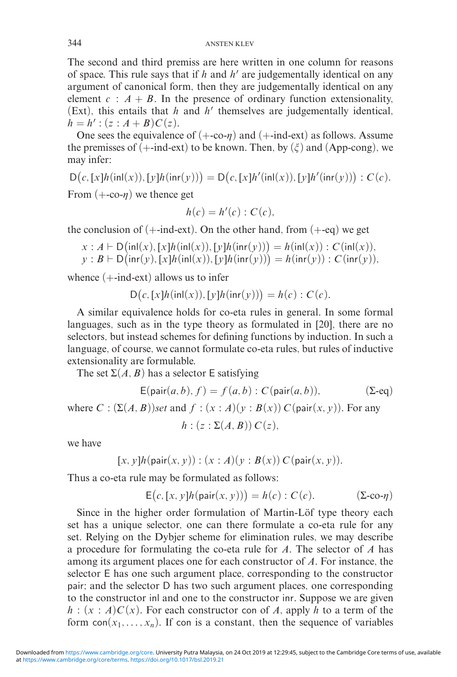The second and third premiss are here written in one column for reasons of space. This rule says that if  $h$  and  $h'$  are judgementally identical on any argument of canonical form, then they are judgementally identical on any element  $c : A + B$ . In the presence of ordinary function extensionality, (Ext), this entails that  $h$  and  $h'$  themselves are judgementally identical,  $h = h'$  :  $(z : A + B)C(z)$ .

One sees the equivalence of  $(+\text{-}c\text{-} \eta)$  and  $(+\text{-}ind\text{-}ext)$  as follows. Assume the premisses of  $(+$ -ind-ext) to be known. Then, by  $(\xi)$  and (App-cong), we may infer:

 $D(c, [x]h(\text{inl}(x)), [y]h(\text{inr}(y))) = D(c, [x]h'(\text{inl}(x)), [y]h'(\text{inr}(y))) : C(c).$ 

From  $(+\text{-}c\text{-} \eta)$  we thence get

$$
h(c) = h'(c) : C(c),
$$

the conclusion of  $(+$ -ind-ext). On the other hand, from  $(+$ -eq) we get

$$
x : A \vdash D(\text{inl}(x), [x]h(\text{inl}(x)), [y]h(\text{inr}(y))) = h(\text{inl}(x)) : C(\text{inl}(x)),
$$
  

$$
y : B \vdash D(\text{inr}(y), [x]h(\text{inl}(x)), [y]h(\text{inr}(y))) = h(\text{inr}(y)) : C(\text{inr}(y)),
$$

whence  $(+$ -ind-ext) allows us to infer

$$
D(c, [x]h(\text{inl}(x)), [y]h(\text{inr}(y))) = h(c) : C(c).
$$

A similar equivalence holds for co-eta rules in general. In some formal languages, such as in the type theory as formulated in [20], there are no selectors, but instead schemes for defining functions by induction. In such a language, of course, we cannot formulate co-eta rules, but rules of inductive extensionality are formulable.

The set  $\Sigma(A, B)$  has a selector E satisfying

$$
E(\text{pair}(a, b), f) = f(a, b) : C(\text{pair}(a, b)),
$$
 (Σ-eq)  
where  $C : (\Sigma(A, B))set$  and  $f : (x : A)(y : B(x)) C(\text{pair}(x, y)).$  For any  
 $h : (z : \Sigma(A, B)) C(z),$ 

we have

$$
[x, y]h(\text{pair}(x, y)) : (x : A)(y : B(x)) C(\text{pair}(x, y)).
$$

Thus a co-eta rule may be formulated as follows:

$$
E(c, [x, y]h(\text{pair}(x, y))) = h(c) : C(c). \qquad (\Sigma\text{-co-}\eta)
$$

Since in the higher order formulation of Martin-Löf type theory each set has a unique selector, one can there formulate a co-eta rule for any set. Relying on the Dybjer scheme for elimination rules, we may describe a procedure for formulating the co-eta rule for *A*. The selector of *A* has among its argument places one for each constructor of *A*. For instance, the selector E has one such argument place, corresponding to the constructor pair; and the selector D has two such argument places, one corresponding to the constructor inl and one to the constructor inr. Suppose we are given  $h : (x : A)C(x)$ . For each constructor con of *A*, apply *h* to a term of the form  $con(x_1, \ldots, x_n)$ . If con is a constant, then the sequence of variables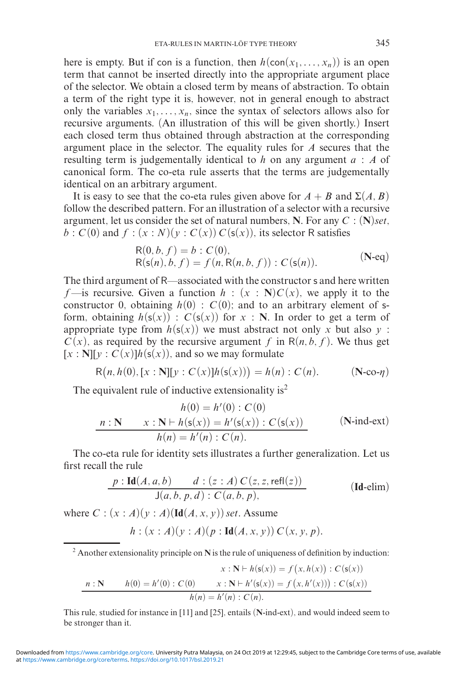here is empty. But if con is a function, then  $h(\text{con}(x_1, \ldots, x_n))$  is an open term that cannot be inserted directly into the appropriate argument place of the selector. We obtain a closed term by means of abstraction. To obtain a term of the right type it is, however, not in general enough to abstract only the variables  $x_1, \ldots, x_n$ , since the syntax of selectors allows also for recursive arguments. (An illustration of this will be given shortly.) Insert each closed term thus obtained through abstraction at the corresponding argument place in the selector. The equality rules for *A* secures that the resulting term is judgementally identical to *h* on any argument *a* : *A* of canonical form. The co-eta rule asserts that the terms are judgementally identical on an arbitrary argument.

It is easy to see that the co-eta rules given above for  $A + B$  and  $\Sigma(A, B)$ follow the described pattern. For an illustration of a selector with a recursive argument, let us consider the set of natural numbers, **N**. For any *C* : (**N**)*set*,  $b: C(0)$  and  $f: (x:N)(y:C(x))C(s(x))$ , its selector R satisfies

$$
R(0, b, f) = b : C(0),
$$
  
\n
$$
R(s(n), b, f) = f(n, R(n, b, f)) : C(s(n)).
$$
 (N-equ)

The third argument of R—associated with the constructor s and here written *f*—is recursive. Given a function  $h : (x : \mathbb{N})C(x)$ , we apply it to the constructor 0, obtaining  $h(0)$  :  $C(0)$ ; and to an arbitrary element of sform, obtaining  $h(s(x))$ :  $C(s(x))$  for  $x : \mathbb{N}$ . In order to get a term of appropriate type from  $h(s(x))$  we must abstract not only *x* but also *y* :  $C(x)$ , as required by the recursive argument *f* in  $R(n, b, f)$ . We thus get  $[x : N][y : C(x)]h(s(x))$ , and so we may formulate

$$
R(n, h(0), [x : N][y : C(x)]h(s(x))) = h(n) : C(n).
$$
 (N-co- $\eta$ )

The equivalent rule of inductive extensionality is<sup>2</sup>

$$
h(0) = h'(0) : C(0)
$$
  

$$
n : \mathbf{N} \qquad x : \mathbf{N} \vdash h(\mathsf{s}(x)) = h'(\mathsf{s}(x)) : C(\mathsf{s}(x)) \qquad (\mathbf{N}\text{-}\mathrm{ind}\text{-}\mathrm{ext})
$$
  

$$
h(n) = h'(n) : C(n).
$$

The co-eta rule for identity sets illustrates a further generalization. Let us first recall the rule

$$
\frac{p: \text{Id}(A, a, b) \qquad d: (z: A) C(z, z, \text{refl}(z))}{\text{J}(a, b, p, d): C(a, b, p),}
$$
 (Id-elim)

where  $C: (x : A)(y : A)(\text{Id}(A, x, y))$  *set*. Assume

$$
h: (x:A)(y:A)(p:Id(A,x,y)) C(x,y,p).
$$

<sup>2</sup> Another extensionality principle on **N** is the rule of uniqueness of definition by induction:

$$
x : \mathbf{N} \vdash h(\mathsf{s}(x)) = f(x, h(x)) : C(\mathsf{s}(x))
$$
  

$$
n : \mathbf{N} \qquad h(0) = h'(0) : C(0) \qquad x : \mathbf{N} \vdash h'(\mathsf{s}(x)) = f(x, h'(x))) : C(\mathsf{s}(x))
$$
  

$$
h(n) = h'(n) : C(n).
$$

This rule, studied for instance in [11] and [25], entails (**N**-ind-ext), and would indeed seem to be stronger than it.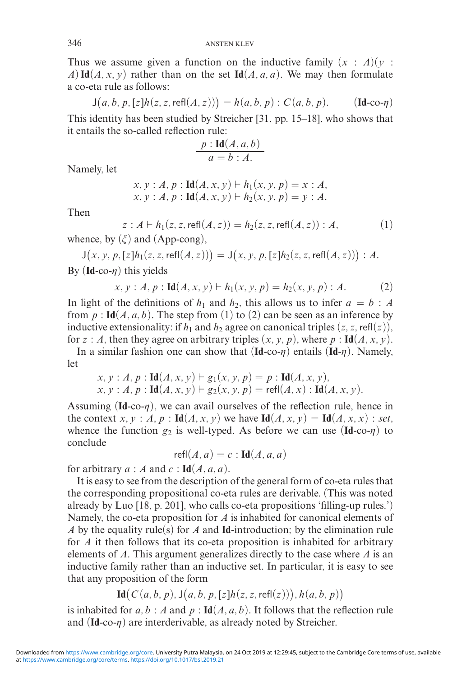Thus we assume given a function on the inductive family  $(x : A)(y :$ *A*) **Id**(*A, x, y*) rather than on the set **Id**(*A, a, a*). We may then formulate a co-eta rule as follows:

$$
J(a, b, p, [z]h(z, z, \text{refl}(A, z))) = h(a, b, p) : C(a, b, p).
$$
 (Id-co- $\eta$ )

This identity has been studied by Streicher [31, pp. 15–18], who shows that it entails the so-called reflection rule:

$$
\frac{p:\mathbf{Id}(A,a,b)}{a=b:A.}
$$

Namely, let

$$
x, y : A, p : Id(A, x, y) \vdash h_1(x, y, p) = x : A, x, y : A, p : Id(A, x, y) \vdash h_2(x, y, p) = y : A.
$$

Then

$$
z : A \vdash h_1(z, z, \text{refl}(A, z)) = h_2(z, z, \text{refl}(A, z)) : A,
$$
  
( $\xi$ ) and (Ann-cong) (1)

whence, by  $(\xi)$  and (App-cong),

 $J(x, y, p, [z]h_1(z, z, \text{refl}(A, z))) = J(x, y, p, [z]h_2(z, z, \text{refl}(A, z))) : A.$ By  $(\text{Id-co-}\eta)$  this yields

$$
x, y : A, p : Id(A, x, y) \vdash h_1(x, y, p) = h_2(x, y, p) : A.
$$
 (2)

In light of the definitions of  $h_1$  and  $h_2$ , this allows us to infer  $a = b : A$ from  $p: \text{Id}(A, a, b)$ . The step from (1) to (2) can be seen as an inference by inductive extensionality: if  $h_1$  and  $h_2$  agree on canonical triples  $(z, z, \text{refl}(z))$ , for *z* : *A*, then they agree on arbitrary triples  $(x, y, p)$ , where  $p$  : **Id** $(A, x, y)$ .

In a similar fashion one can show that  $(\text{Id}$ -co- $\eta$ ) entails  $(\text{Id}-\eta)$ . Namely, let

$$
x, y : A, p : Id(A, x, y) \vdash g_1(x, y, p) = p : Id(A, x, y),
$$
  
\n
$$
x, y : A, p : Id(A, x, y) \vdash g_2(x, y, p) = \text{refl}(A, x) : Id(A, x, y).
$$

Assuming  $(\text{Id-co-}\eta)$ , we can avail ourselves of the reflection rule, hence in the context *x*, *y* : *A*, *p* :  $\text{Id}(A, x, y)$  we have  $\text{Id}(A, x, y) = \text{Id}(A, x, x)$  : *set*, whence the function  $g_2$  is well-typed. As before we can use  $(\text{Id-co-}\eta)$  to conclude

$$
\mathsf{refl}(A,a) = c : \mathbf{Id}(A,a,a)
$$

for arbitrary  $a : A$  and  $c : \text{Id}(A, a, a)$ .

It is easy to see from the description of the general form of co-eta rules that the corresponding propositional co-eta rules are derivable. (This was noted already by Luo [18, p. 201], who calls co-eta propositions 'filling-up rules.') Namely, the co-eta proposition for *A* is inhabited for canonical elements of *A* by the equality rule(s) for *A* and **Id**-introduction; by the elimination rule for *A* it then follows that its co-eta proposition is inhabited for arbitrary elements of *A*. This argument generalizes directly to the case where *A* is an inductive family rather than an inductive set. In particular, it is easy to see that any proposition of the form

**Id**
$$
(C(a, b, p), J(a, b, p, [z]h(z, z, \text{refl}(z))), h(a, b, p))
$$

is inhabited for  $a, b : A$  and  $p : Id(A, a, b)$ . It follows that the reflection rule and  $(\text{Id-co-}\eta)$  are interderivable, as already noted by Streicher.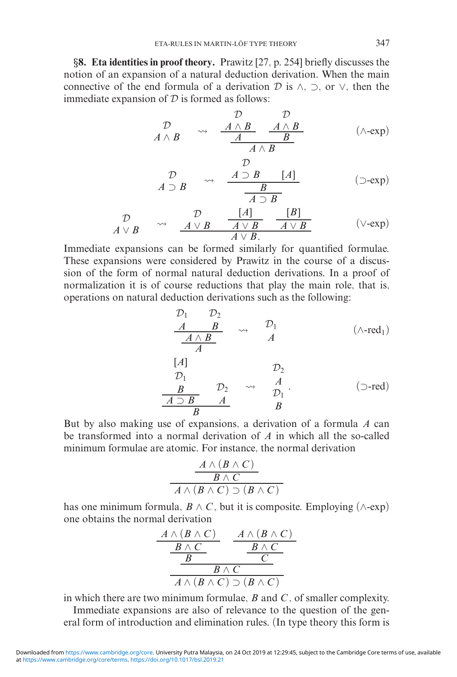*§***8. Eta identities in proof theory.** Prawitz [27, p. 254] briefly discusses the notion of an expansion of a natural deduction derivation. When the main connective of the end formula of a derivation  $\mathcal D$  is  $\wedge$ ,  $\supset$ , or  $\vee$ , then the immediate expansion of  $D$  is formed as follows:

$$
\begin{array}{ccc}\n\mathcal{D} & \mathcal{D} & \mathcal{D} \\
A \wedge B & \longrightarrow & \underbrace{\mathcal{A} \wedge B}_{\mathcal{A}} & \underbrace{\mathcal{A} \wedge B}_{\mathcal{B}} \\
\hline\n\end{array} \qquad (\wedge - \exp)
$$

$$
\begin{array}{ccc}\n\mathcal{D} & & \\
A \supset B & & \\
\hline\nA \supset B & & \\
\hline\n\end{array} \qquad \qquad \begin{array}{c}\n\mathcal{D} \\
A \supset B \\
\hline\n\end{array} \qquad \qquad \begin{array}{c}\n\text{(5-exp)} \\
\hline\n\end{array}
$$

$$
\begin{array}{ccc}\n\mathcal{D} & \mathcal{D} & [A] & [B] \\
A \lor B & \xrightarrow{A \lor B} & A \lor B & A \lor B \\
\hline\nA \lor B & & \\
A \lor B & & \\
\end{array}
$$
 (V-exp)

Immediate expansions can be formed similarly for quantified formulae. These expansions were considered by Prawitz in the course of a discussion of the form of normal natural deduction derivations. In a proof of normalization it is of course reductions that play the main role, that is, operations on natural deduction derivations such as the following:

$$
\begin{array}{ccc}\n\mathcal{D}_1 & \mathcal{D}_2 \\
\underline{A} & B \\
\hline\n\underline{A \wedge B}} & \rightsquigarrow & \mathcal{D}_1 \\
[A] & & \mathcal{D}_2 \\
\mathcal{D}_1 & & \mathcal{D}_2 \\
\underline{B} & \mathcal{D}_2 & \rightsquigarrow & \mathcal{D}_1 \\
\hline\n\underline{A \supset B} & A & \mathcal{D}_1 \\
\hline\n\underline{B} & & \mathcal{B}\n\end{array} \tag{5-red}
$$

But by also making use of expansions, a derivation of a formula *A* can be transformed into a normal derivation of *A* in which all the so-called minimum formulae are atomic. For instance, the normal derivation

$$
\frac{A \land (B \land C)}{B \land C}
$$
  

$$
A \land (B \land C) \supset (B \land C)
$$

has one minimum formula,  $B \wedge C$ , but it is composite. Employing ( $\wedge$ -exp) one obtains the normal derivation

$$
\begin{array}{c|c}\nA \wedge (B \wedge C) & A \wedge (B \wedge C) \\
\hline\nB \wedge C & B \wedge C \\
\hline\nB & C \\
\hline\nA \wedge (B \wedge C) \supset (B \wedge C)\n\end{array}
$$

in which there are two minimum formulae, *B* and *C* , of smaller complexity.

Immediate expansions are also of relevance to the question of the general form of introduction and elimination rules. (In type theory this form is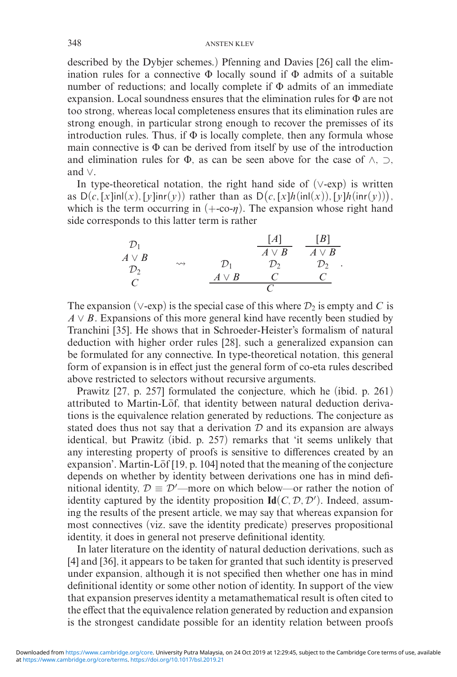described by the Dybjer schemes.) Pfenning and Davies [26] call the elimination rules for a connective  $\Phi$  locally sound if  $\Phi$  admits of a suitable number of reductions; and locally complete if  $\Phi$  admits of an immediate expansion. Local soundness ensures that the elimination rules for Φ are not too strong, whereas local completeness ensures that its elimination rules are strong enough, in particular strong enough to recover the premisses of its introduction rules. Thus, if  $\Phi$  is locally complete, then any formula whose main connective is  $\Phi$  can be derived from itself by use of the introduction and elimination rules for  $\Phi$ , as can be seen above for the case of  $\wedge$ ,  $\supset$ , and ∨.

In type-theoretical notation, the right hand side of (∨-exp) is written as  $D(c, [x]in(x), [y]in(x))$  rather than as  $D(c, [x]h(in(x)), [y]h(in(x))),$ which is the term occurring in  $(+\text{co-}\eta)$ . The expansion whose right hand side corresponds to this latter term is rather

| $\mathcal{D}_1$ |                    |                 | [A]             | [B]             |
|-----------------|--------------------|-----------------|-----------------|-----------------|
| $A \vee B$      |                    |                 | $A \vee B$      | $A \vee B$      |
| $\mathcal{D}_2$ | $\rightsquigarrow$ | $\mathcal{D}_1$ | $\mathcal{D}_2$ | $\mathcal{D}_2$ |
|                 |                    | $A \vee B$      | $\epsilon$      |                 |
| C               |                    |                 |                 |                 |

The expansion ( $\vee$ -exp) is the special case of this where  $\mathcal{D}_2$  is empty and *C* is  $A \vee B$ . Expansions of this more general kind have recently been studied by Tranchini [35]. He shows that in Schroeder-Heister's formalism of natural deduction with higher order rules [28], such a generalized expansion can be formulated for any connective. In type-theoretical notation, this general form of expansion is in effect just the general form of co-eta rules described above restricted to selectors without recursive arguments.

Prawitz [27, p. 257] formulated the conjecture, which he (ibid. p. 261) attributed to Martin-Löf, that identity between natural deduction derivations is the equivalence relation generated by reductions. The conjecture as stated does thus not say that a derivation  $D$  and its expansion are always identical, but Prawitz (ibid. p. 257) remarks that 'it seems unlikely that any interesting property of proofs is sensitive to differences created by an expansion'. Martin-Löf  $[19, p. 104]$  noted that the meaning of the conjecture depends on whether by identity between derivations one has in mind definitional identity,  $\mathcal{D} \equiv \mathcal{D}'$ —more on which below—or rather the notion of identity captured by the identity proposition  $\text{Id}(C, D, D')$ . Indeed, assuming the results of the present article, we may say that whereas expansion for most connectives (viz. save the identity predicate) preserves propositional identity, it does in general not preserve definitional identity.

In later literature on the identity of natural deduction derivations, such as [4] and [36], it appears to be taken for granted that such identity is preserved under expansion, although it is not specified then whether one has in mind definitional identity or some other notion of identity. In support of the view that expansion preserves identity a metamathematical result is often cited to the effect that the equivalence relation generated by reduction and expansion is the strongest candidate possible for an identity relation between proofs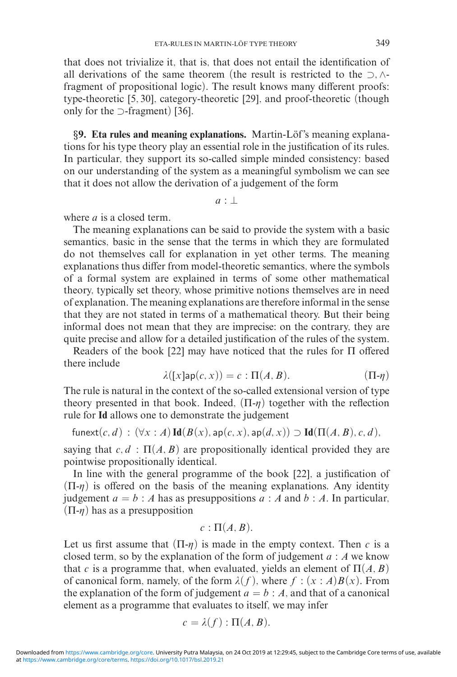that does not trivialize it, that is, that does not entail the identification of all derivations of the same theorem (the result is restricted to the ⊃*,* ∧ fragment of propositional logic). The result knows many different proofs: type-theoretic [5, 30], category-theoretic [29], and proof-theoretic (though only for the ⊃-fragment) [36].

*§***9. Eta rules and meaning explanations.** Martin-Lof's meaning explana- ¨ tions for his type theory play an essential role in the justification of its rules. In particular, they support its so-called simple minded consistency: based on our understanding of the system as a meaningful symbolism we can see that it does not allow the derivation of a judgement of the form

 $a: \perp$ 

where *a* is a closed term.

The meaning explanations can be said to provide the system with a basic semantics, basic in the sense that the terms in which they are formulated do not themselves call for explanation in yet other terms. The meaning explanations thus differ from model-theoretic semantics, where the symbols of a formal system are explained in terms of some other mathematical theory, typically set theory, whose primitive notions themselves are in need of explanation. The meaning explanations are therefore informal in the sense that they are not stated in terms of a mathematical theory. But their being informal does not mean that they are imprecise: on the contrary, they are quite precise and allow for a detailed justification of the rules of the system.

Readers of the book [22] may have noticed that the rules for Π offered there include

$$
\lambda([x] \mathsf{ap}(c, x)) = c : \Pi(A, B). \tag{11- $\eta$ )
$$

The rule is natural in the context of the so-called extensional version of type theory presented in that book. Indeed,  $(\Pi - \eta)$  together with the reflection rule for **Id** allows one to demonstrate the judgement

$$
\mathsf{funext}(c,d) \,:\, (\forall x:A) \, \mathbf{Id}(B(x),\mathsf{ap}(c,x),\mathsf{ap}(d,x)) \supset \mathbf{Id}(\Pi(A,B),c,d),
$$

saying that  $c, d$ :  $\Pi(A, B)$  are propositionally identical provided they are pointwise propositionally identical.

In line with the general programme of the book [22], a justification of  $(\Pi-\eta)$  is offered on the basis of the meaning explanations. Any identity judgement  $a = b : A$  has as presuppositions  $a : A$  and  $b : A$ . In particular,  $(\Pi-\eta)$  has as a presupposition

$$
c:\Pi(A,B).
$$

Let us first assume that  $(\Pi - \eta)$  is made in the empty context. Then *c* is a closed term, so by the explanation of the form of judgement *a* : *A* we know that *c* is a programme that, when evaluated, yields an element of  $\Pi(A, B)$ of canonical form, namely, of the form  $\lambda(f)$ , where  $f : (x : A)B(x)$ . From the explanation of the form of judgement  $a = b : A$ , and that of a canonical element as a programme that evaluates to itself, we may infer

$$
c=\lambda(f):\Pi(A,B).
$$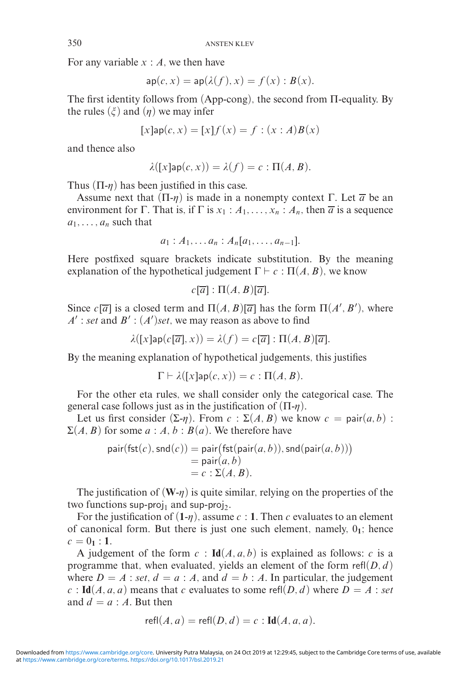For any variable *x* : *A*, we then have

$$
\mathsf{ap}(c, x) = \mathsf{ap}(\lambda(f), x) = f(x) : B(x).
$$

The first identity follows from (App-cong), the second from Π-equality. By the rules  $(\xi)$  and  $(\eta)$  we may infer

$$
[x] \mathsf{ap}(c, x) = [x] f(x) = f : (x : A) B(x)
$$

and thence also

$$
\lambda([x] \mathsf{ap}(c, x)) = \lambda(f) = c : \Pi(A, B).
$$

Thus  $(\Pi - \eta)$  has been justified in this case.

Assume next that  $(\Pi-\eta)$  is made in a nonempty context  $\Gamma$ . Let  $\overline{a}$  be an environment for Γ. That is, if Γ is  $x_1 : A_1, \ldots, x_n : A_n$ , then  $\overline{a}$  is a sequence  $a_1, \ldots, a_n$  such that

$$
a_1: A_1, \ldots a_n: A_n[a_1, \ldots, a_{n-1}].
$$

Here postfixed square brackets indicate substitution. By the meaning explanation of the hypothetical judgement  $\Gamma \vdash c : \Pi(A, B)$ , we know

$$
c[\overline{a}]:\Pi(A,B)[\overline{a}].
$$

Since  $c[\overline{a}]$  is a closed term and  $\Pi(A, B)[\overline{a}]$  has the form  $\Pi(A', B')$ , where  $A'$ : *set* and  $B'$ :  $(A')$ *set*, we may reason as above to find

$$
\lambda([x]\mathsf{ap}(c[\overline{a}],x)) = \lambda(f) = c[\overline{a}]: \Pi(A,B)[\overline{a}].
$$

By the meaning explanation of hypothetical judgements, this justifies

 $\Gamma \vdash \lambda([x] \mathsf{ap}(c, x)) = c : \Pi(A, B).$ 

For the other eta rules, we shall consider only the categorical case. The general case follows just as in the justification of  $(\Pi - \eta)$ .

Let us first consider  $(\Sigma - \eta)$ . From  $c : \Sigma(A, B)$  we know  $c = \text{pair}(a, b)$ :  $\Sigma(A, B)$  for some  $a : A, b : B(a)$ . We therefore have

$$
pair(fst(c),snd(c)) = pair(fst(pair(a, b)), std(pair(a, b)))
$$
  
= 
$$
pair(a, b)
$$
  
= 
$$
c : \Sigma(A, B).
$$

The justification of  $(W-\eta)$  is quite similar, relying on the properties of the two functions sup-proj<sub>1</sub> and sup-proj<sub>2</sub>.

For the justification of  $(1-\eta)$ , assume  $c : 1$ . Then  $c$  evaluates to an element of canonical form. But there is just one such element, namely,  $0<sub>1</sub>$ ; hence  $c = 0_1 : 1$ .

A judgement of the form  $c : \text{Id}(A, a, b)$  is explained as follows: *c* is a programme that, when evaluated, yields an element of the form  $refl(D, d)$ where  $D = A$ : *set*,  $d = a$ : *A*, and  $d = b$ : *A*. In particular, the judgement  $c$ : **Id**(*A, a, a*) means that *c* evaluates to some refl(*D, d*) where  $D = A$ : *set* and  $d = a : A$ . But then

$$
\mathsf{refl}(A, a) = \mathsf{refl}(D, d) = c : \mathbf{Id}(A, a, a).
$$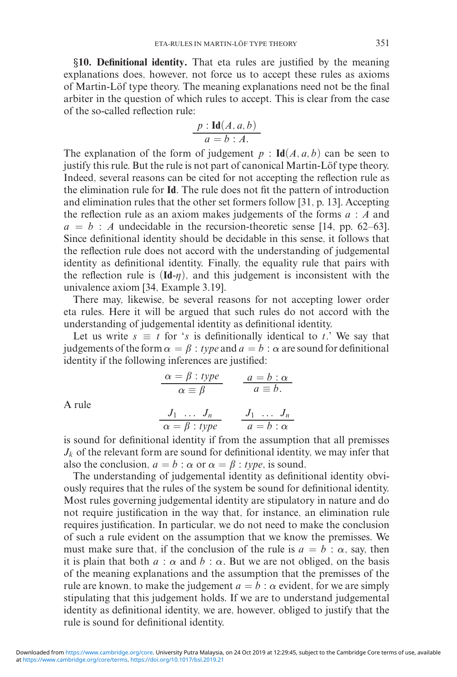*§***10. Definitional identity.** That eta rules are justified by the meaning explanations does, however, not force us to accept these rules as axioms of Martin-Löf type theory. The meaning explanations need not be the final arbiter in the question of which rules to accept. This is clear from the case of the so-called reflection rule:

$$
\frac{p:\mathbf{Id}(A,a,b)}{a=b:A.}
$$

The explanation of the form of judgement  $p$  :  $\text{Id}(A, a, b)$  can be seen to justify this rule. But the rule is not part of canonical Martin-Löf type theory. Indeed, several reasons can be cited for not accepting the reflection rule as the elimination rule for **Id**. The rule does not fit the pattern of introduction and elimination rules that the other set formers follow [31, p. 13]. Accepting the reflection rule as an axiom makes judgements of the forms *a* : *A* and  $a = b$ : *A* undecidable in the recursion-theoretic sense [14, pp. 62–63]. Since definitional identity should be decidable in this sense, it follows that the reflection rule does not accord with the understanding of judgemental identity as definitional identity. Finally, the equality rule that pairs with the reflection rule is  $(\text{Id} - \eta)$ , and this judgement is inconsistent with the univalence axiom [34, Example 3.19].

There may, likewise, be several reasons for not accepting lower order eta rules. Here it will be argued that such rules do not accord with the understanding of judgemental identity as definitional identity.

Let us write  $s \equiv t$  for '*s* is definitionally identical to *t*.' We say that judgements of the form  $\alpha = \beta$ : *type* and  $a = b : \alpha$  are sound for definitional identity if the following inferences are justified:

$$
\frac{\alpha = \beta : type}{\alpha \equiv \beta} \qquad \frac{a = b : \alpha}{a \equiv b}.
$$

A rule

$$
\frac{J_1 \dots J_n}{\alpha = \beta : type} \qquad \frac{J_1 \dots J_n}{a = b : \alpha}
$$

is sound for definitional identity if from the assumption that all premisses  $J_k$  of the relevant form are sound for definitional identity, we may infer that also the conclusion,  $a = b : \alpha$  or  $\alpha = \beta : type$ , is sound.

The understanding of judgemental identity as definitional identity obviously requires that the rules of the system be sound for definitional identity. Most rules governing judgemental identity are stipulatory in nature and do not require justification in the way that, for instance, an elimination rule requires justification. In particular, we do not need to make the conclusion of such a rule evident on the assumption that we know the premisses. We must make sure that, if the conclusion of the rule is  $a = b : \alpha$ , say, then it is plain that both  $a : \alpha$  and  $b : \alpha$ . But we are not obliged, on the basis of the meaning explanations and the assumption that the premisses of the rule are known, to make the judgement  $a = b : \alpha$  evident, for we are simply stipulating that this judgement holds. If we are to understand judgemental identity as definitional identity, we are, however, obliged to justify that the rule is sound for definitional identity.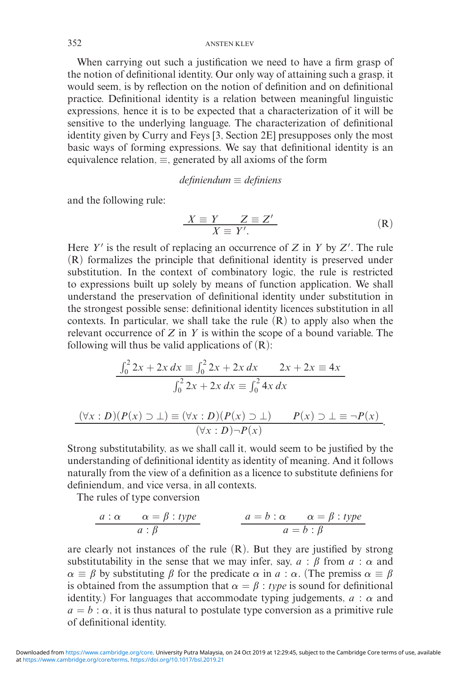When carrying out such a justification we need to have a firm grasp of the notion of definitional identity. Our only way of attaining such a grasp, it would seem, is by reflection on the notion of definition and on definitional practice. Definitional identity is a relation between meaningful linguistic expressions, hence it is to be expected that a characterization of it will be sensitive to the underlying language. The characterization of definitional identity given by Curry and Feys [3, Section 2E] presupposes only the most basic ways of forming expressions. We say that definitional identity is an equivalence relation,  $\equiv$ , generated by all axioms of the form

## *definiendum* ≡ *definiens*

and the following rule:

$$
\frac{X \equiv Y \quad Z \equiv Z'}{X \equiv Y'}. \tag{R}
$$

Here *Y* is the result of replacing an occurrence of *Z* in *Y* by *Z* . The rule (R) formalizes the principle that definitional identity is preserved under substitution. In the context of combinatory logic, the rule is restricted to expressions built up solely by means of function application. We shall understand the preservation of definitional identity under substitution in the strongest possible sense: definitional identity licences substitution in all contexts. In particular, we shall take the rule  $(R)$  to apply also when the relevant occurrence of *Z* in *Y* is within the scope of a bound variable. The following will thus be valid applications of  $(R)$ :

$$
\frac{\int_0^2 2x + 2x \, dx \equiv \int_0^2 2x + 2x \, dx \qquad 2x + 2x \equiv 4x}{\int_0^2 2x + 2x \, dx \equiv \int_0^2 4x \, dx}
$$

$$
\frac{(\forall x : D)(P(x) \supset \bot) \equiv (\forall x : D)(P(x) \supset \bot) \qquad P(x) \supset \bot \equiv \neg P(x)}{(\forall x : D) \neg P(x)}.
$$

Strong substitutability, as we shall call it, would seem to be justified by the understanding of definitional identity as identity of meaning. And it follows naturally from the view of a definition as a licence to substitute definiens for definiendum, and vice versa, in all contexts.

The rules of type conversion

$$
a: \alpha
$$
  $\alpha = \beta : type$   
\n $a: \beta$   $a = b: \alpha$   $\alpha = \beta : type$   
\n $a = b: \beta$ 

are clearly not instances of the rule  $(R)$ . But they are justified by strong substitutability in the sense that we may infer, say,  $a : \beta$  from  $a : \alpha$  and  $\alpha \equiv \beta$  by substituting  $\beta$  for the predicate  $\alpha$  in  $\alpha : \alpha$ . (The premiss  $\alpha \equiv \beta$ is obtained from the assumption that  $\alpha = \beta$ : *type* is sound for definitional identity.) For languages that accommodate typing judgements,  $a : \alpha$  and  $a = b : \alpha$ , it is thus natural to postulate type conversion as a primitive rule of definitional identity.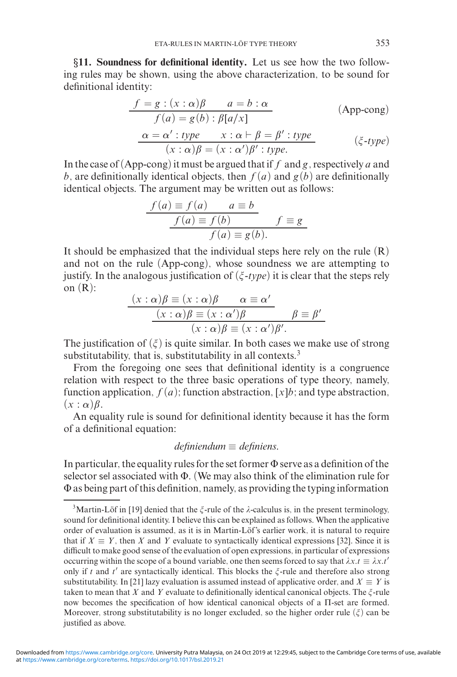*§***11. Soundness for definitional identity.** Let us see how the two following rules may be shown, using the above characterization, to be sound for definitional identity:

$$
\frac{f = g : (x : \alpha)\beta \qquad a = b : \alpha}{f(a) = g(b) : \beta[a/x]}
$$
 (App-cong)

$$
\frac{\alpha = \alpha' : type \quad x : \alpha \vdash \beta = \beta' : type}{(x : \alpha)\beta = (x : \alpha')\beta' : type.} \qquad (\xi \text{-type})
$$

In the case of (App-cong) it must be argued that if *f* and *g*, respectively *a* and *b*, are definitionally identical objects, then  $f(a)$  and  $g(b)$  are definitionally identical objects. The argument may be written out as follows:

$$
\frac{f(a) \equiv f(a) \qquad a \equiv b}{f(a) \equiv f(b)} \qquad f \equiv g
$$

$$
f(a) \equiv g(b).
$$

It should be emphasized that the individual steps here rely on the rule  $(R)$ and not on the rule (App-cong), whose soundness we are attempting to justify. In the analogous justification of  $(\xi$ -type) it is clear that the steps rely on  $(R)$ :

$$
\frac{(x:\alpha)\beta \equiv (x:\alpha)\beta \qquad \alpha \equiv \alpha'}{(x:\alpha)\beta \equiv (x:\alpha')\beta} \qquad \beta \equiv \beta'
$$

$$
(x:\alpha)\beta \equiv (x:\alpha')\beta'.
$$

The justification of  $(\xi)$  is quite similar. In both cases we make use of strong substitutability, that is, substitutability in all contexts.<sup>3</sup>

From the foregoing one sees that definitional identity is a congruence relation with respect to the three basic operations of type theory, namely, function application,  $f(a)$ ; function abstraction, [ $x|b$ ; and type abstraction,  $(x : \alpha)\beta$ .

An equality rule is sound for definitional identity because it has the form of a definitional equation:

# *definiendum* ≡ *definiens.*

In particular, the equality rules for the set former  $\Phi$  serve as a definition of the selector sel associated with Φ. (We may also think of the elimination rule for Φ as being part of this definition, namely, as providing the typing information

<sup>&</sup>lt;sup>3</sup>Martin-Löf in [19] denied that the  $\xi$ -rule of the  $\lambda$ -calculus is, in the present terminology, sound for definitional identity. I believe this can be explained as follows. When the applicative order of evaluation is assumed, as it is in Martin-Löf's earlier work, it is natural to require that if  $X \equiv Y$ , then *X* and *Y* evaluate to syntactically identical expressions [32]. Since it is difficult to make good sense of the evaluation of open expressions, in particular of expressions occurring within the scope of a bound variable, one then seems forced to say that  $\lambda x.t \equiv \lambda x.t'$ only if *t* and *t'* are syntactically identical. This blocks the  $\zeta$ -rule and therefore also strong substitutability. In [21] lazy evaluation is assumed instead of applicative order, and  $X \equiv Y$  is taken to mean that *X* and *Y* evaluate to definitionally identical canonical objects. The  $\zeta$ -rule now becomes the specification of how identical canonical objects of a Π-set are formed. Moreover, strong substitutability is no longer excluded, so the higher order rule  $(\xi)$  can be justified as above.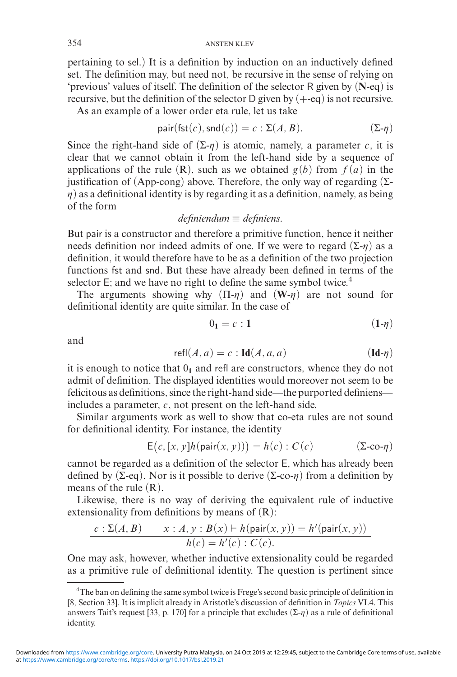pertaining to sel.) It is a definition by induction on an inductively defined set. The definition may, but need not, be recursive in the sense of relying on 'previous' values of itself. The definition of the selector R given by (**N**-eq) is recursive, but the definition of the selector D given by  $(+\text{-}eq)$  is not recursive.

As an example of a lower order eta rule, let us take

$$
pair(fst(c),snd(c)) = c : \Sigma(A, B). \qquad (\Sigma - \eta)
$$

Since the right-hand side of  $(\Sigma - \eta)$  is atomic, namely, a parameter *c*, it is clear that we cannot obtain it from the left-hand side by a sequence of applications of the rule  $(R)$ , such as we obtained  $g(b)$  from  $f(a)$  in the justification of (App-cong) above. Therefore, the only way of regarding  $(\Sigma$ - $\eta$ ) as a definitional identity is by regarding it as a definition, namely, as being of the form

# *definiendum* ≡ *definiens.*

But pair is a constructor and therefore a primitive function, hence it neither needs definition nor indeed admits of one. If we were to regard  $(\Sigma - \eta)$  as a definition, it would therefore have to be as a definition of the two projection functions fst and snd. But these have already been defined in terms of the selector E; and we have no right to define the same symbol twice.<sup>4</sup>

The arguments showing why  $(\Pi - \eta)$  and  $(\mathbf{W} - \eta)$  are not sound for definitional identity are quite similar. In the case of

$$
0_1 = c : 1 \tag{1-η)}
$$

and

$$
\text{refl}(A, a) = c : \text{Id}(A, a, a) \tag{Id- $\eta$ )
$$

it is enough to notice that  $0<sub>1</sub>$  and refl are constructors, whence they do not admit of definition. The displayed identities would moreover not seem to be felicitous as definitions, since the right-hand side—the purported definiens includes a parameter, *c*, not present on the left-hand side.

Similar arguments work as well to show that co-eta rules are not sound for definitional identity. For instance, the identity

$$
E(c, [x, y]h(\text{pair}(x, y))) = h(c) : C(c)
$$
 (Σ-co-η)

cannot be regarded as a definition of the selector E, which has already been defined by (Σ-eq). Nor is it possible to derive (Σ-co- $\eta$ ) from a definition by means of the rule (R).

Likewise, there is no way of deriving the equivalent rule of inductive extensionality from definitions by means of  $(R)$ :

$$
\frac{c:\Sigma(A,B) \qquad x:A, y:B(x) \vdash h(\text{pair}(x, y)) = h'(\text{pair}(x, y))}{h(c) = h'(c) : C(c)}.
$$

One may ask, however, whether inductive extensionality could be regarded as a primitive rule of definitional identity. The question is pertinent since

<sup>&</sup>lt;sup>4</sup>The ban on defining the same symbol twice is Frege's second basic principle of definition in [8, Section 33]. It is implicit already in Aristotle's discussion of definition in *Topics* VI.4. This answers Tait's request [33, p. 170] for a principle that excludes  $(\Sigma \cdot \eta)$  as a rule of definitional identity.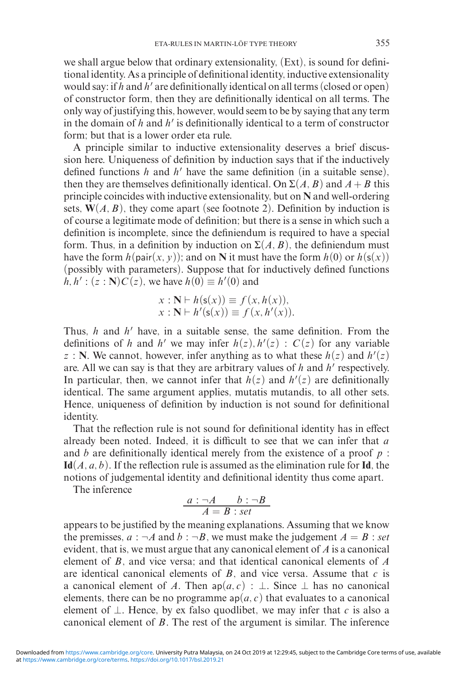we shall argue below that ordinary extensionality, (Ext), is sound for definitional identity. As a principle of definitional identity, inductive extensionality would say: if  $h$  and  $h'$  are definitionally identical on all terms (closed or open) of constructor form, then they are definitionally identical on all terms. The only way of justifying this, however, would seem to be by saying that any term in the domain of  $h$  and  $h'$  is definitionally identical to a term of constructor form; but that is a lower order eta rule.

A principle similar to inductive extensionality deserves a brief discussion here. Uniqueness of definition by induction says that if the inductively defined functions  $h$  and  $h'$  have the same definition (in a suitable sense), then they are themselves definitionally identical. On  $\Sigma(A, B)$  and  $A + B$  this principle coincides with inductive extensionality, but on **N** and well-ordering sets,  $W(A, B)$ , they come apart (see footnote 2). Definition by induction is of course a legitimate mode of definition; but there is a sense in which such a definition is incomplete, since the definiendum is required to have a special form. Thus, in a definition by induction on  $\Sigma(A, B)$ , the definiendum must have the form  $h(\text{pair}(x, y))$ ; and on **N** it must have the form  $h(0)$  or  $h(s(x))$ (possibly with parameters). Suppose that for inductively defined functions *h*, *h*' : (*z* : **N**)*C*(*z*), we have *h*(0)  $\equiv$  *h*'(0) and

$$
x : \mathbf{N} \vdash h(\mathsf{s}(x)) \equiv f(x, h(x)),
$$
  

$$
x : \mathbf{N} \vdash h'(\mathsf{s}(x)) \equiv f(x, h'(x)).
$$

Thus, *h* and *h'* have, in a suitable sense, the same definition. From the definitions of *h* and *h'* we may infer  $h(z)$ ,  $h'(z)$  :  $C(z)$  for any variable  $z : \mathbb{N}$ . We cannot, however, infer anything as to what these  $h(z)$  and  $h'(z)$ are. All we can say is that they are arbitrary values of h and h' respectively. In particular, then, we cannot infer that  $h(z)$  and  $h'(z)$  are definitionally identical. The same argument applies, mutatis mutandis, to all other sets. Hence, uniqueness of definition by induction is not sound for definitional identity.

That the reflection rule is not sound for definitional identity has in effect already been noted. Indeed, it is difficult to see that we can infer that *a* and *b* are definitionally identical merely from the existence of a proof *p* : **Id**(*A, a, b*). If the reflection rule is assumed as the elimination rule for **Id**, the notions of judgemental identity and definitional identity thus come apart.

The inference

$$
\frac{a : \neg A \qquad b : \neg B}{A = B : set}
$$

appears to be justified by the meaning explanations. Assuming that we know the premisses,  $a : \neg A$  and  $b : \neg B$ , we must make the judgement  $A = B$ : set evident, that is, we must argue that any canonical element of *A* is a canonical element of *B*, and vice versa; and that identical canonical elements of *A* are identical canonical elements of  $B$ , and vice versa. Assume that  $c$  is a canonical element of *A*. Then  $ap(a, c)$  : ⊥. Since ⊥ has no canonical elements, there can be no programme  $ap(a, c)$  that evaluates to a canonical element of  $\perp$ . Hence, by ex falso quodlibet, we may infer that *c* is also a canonical element of *B*. The rest of the argument is similar. The inference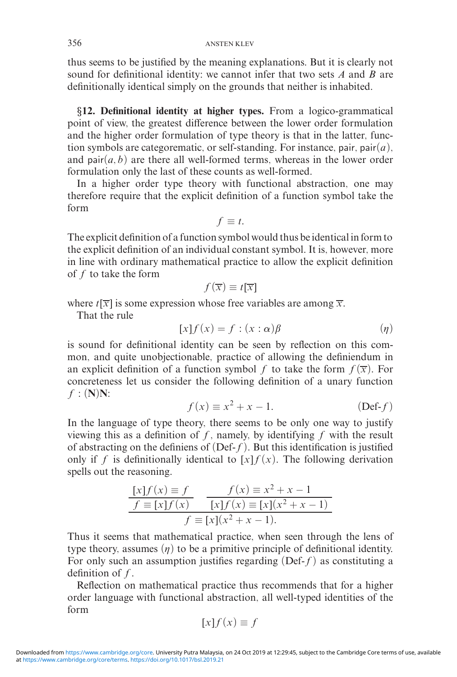thus seems to be justified by the meaning explanations. But it is clearly not sound for definitional identity: we cannot infer that two sets *A* and *B* are definitionally identical simply on the grounds that neither is inhabited.

*§***12. Definitional identity at higher types.** From a logico-grammatical point of view, the greatest difference between the lower order formulation and the higher order formulation of type theory is that in the latter, function symbols are categorematic, or self-standing. For instance, pair, pair(*a*), and pair $(a, b)$  are there all well-formed terms, whereas in the lower order formulation only the last of these counts as well-formed.

In a higher order type theory with functional abstraction, one may therefore require that the explicit definition of a function symbol take the form

 $f \equiv t$ .

The explicit definition of a function symbol would thus be identical in form to the explicit definition of an individual constant symbol. It is, however, more in line with ordinary mathematical practice to allow the explicit definition of *f* to take the form

$$
f(\overline{x}) \equiv t[\overline{x}]
$$

where  $t[\overline{x}]$  is some expression whose free variables are among  $\overline{x}$ .

That the rule

$$
[x]f(x) = f : (x : \alpha)\beta \tag{1}
$$

is sound for definitional identity can be seen by reflection on this common, and quite unobjectionable, practice of allowing the definiendum in an explicit definition of a function symbol *f* to take the form  $f(\overline{x})$ . For concreteness let us consider the following definition of a unary function *f* : (**N**)**N**:

$$
f(x) \equiv x^2 + x - 1. \tag{Def-f}
$$

In the language of type theory, there seems to be only one way to justify viewing this as a definition of *f*, namely, by identifying *f* with the result of abstracting on the definiens of (Def-*f*). But this identification is justified only if *f* is definitionally identical to  $[x]f(x)$ . The following derivation spells out the reasoning.

$$
\frac{[x]f(x) \equiv f}{f \equiv [x]f(x)} \quad \frac{f(x) \equiv x^2 + x - 1}{[x]f(x) \equiv [x](x^2 + x - 1)}\nf \equiv [x](x^2 + x - 1).
$$

Thus it seems that mathematical practice, when seen through the lens of type theory, assumes  $(\eta)$  to be a primitive principle of definitional identity. For only such an assumption justifies regarding (Def-*f*) as constituting a definition of *f*.

Reflection on mathematical practice thus recommends that for a higher order language with functional abstraction, all well-typed identities of the form

$$
[x]f(x) \equiv f
$$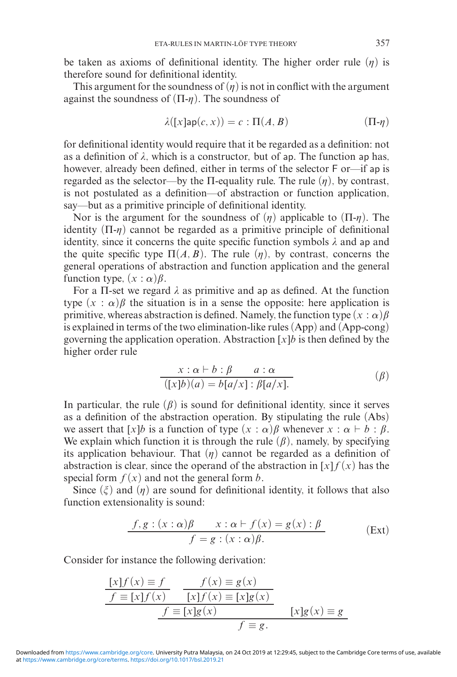be taken as axioms of definitional identity. The higher order rule  $(\eta)$  is therefore sound for definitional identity.

This argument for the soundness of  $(\eta)$  is not in conflict with the argument against the soundness of  $(\Pi - \eta)$ . The soundness of

$$
\lambda([x] \mathsf{ap}(c, x)) = c : \Pi(A, B) \tag{1} \mathsf{T} \mathsf{ap}(c, x)
$$

for definitional identity would require that it be regarded as a definition: not as a definition of  $\lambda$ , which is a constructor, but of ap. The function ap has, however, already been defined, either in terms of the selector F or—if ap is regarded as the selector—by the  $\Pi$ -equality rule. The rule  $(\eta)$ , by contrast, is not postulated as a definition—of abstraction or function application, say—but as a primitive principle of definitional identity.

Nor is the argument for the soundness of  $(\eta)$  applicable to  $(\Pi - \eta)$ . The identity  $(\Pi - \eta)$  cannot be regarded as a primitive principle of definitional identity, since it concerns the quite specific function symbols  $\lambda$  and ap and the quite specific type  $\Pi(A, B)$ . The rule  $(\eta)$ , by contrast, concerns the general operations of abstraction and function application and the general function type,  $(x : \alpha)$  $\beta$ .

For a Π-set we regard  $\lambda$  as primitive and ap as defined. At the function type  $(x : \alpha)\beta$  the situation is in a sense the opposite: here application is primitive, whereas abstraction is defined. Namely, the function type  $(x : \alpha)$   $\beta$ is explained in terms of the two elimination-like rules (App) and (App-cong) governing the application operation. Abstraction  $[x]$ *b* is then defined by the higher order rule

$$
\frac{x:\alpha \vdash b:\beta \qquad a:\alpha}{([x]b)(a) = b[a/x]: \beta[a/x].}
$$
\n
$$
( \beta )
$$

In particular, the rule  $(\beta)$  is sound for definitional identity, since it serves as a definition of the abstraction operation. By stipulating the rule (Abs) we assert that  $[x]b$  is a function of type  $(x : \alpha)\beta$  whenever  $x : \alpha \vdash b : \beta$ . We explain which function it is through the rule  $(\beta)$ , namely, by specifying its application behaviour. That  $(\eta)$  cannot be regarded as a definition of abstraction is clear, since the operand of the abstraction in  $[x]f(x)$  has the special form  $f(x)$  and not the general form *b*.

Since  $(\xi)$  and  $(\eta)$  are sound for definitional identity, it follows that also function extensionality is sound:

$$
\frac{f, g: (x : \alpha)\beta \qquad x: \alpha \vdash f(x) = g(x) : \beta}{f = g: (x : \alpha)\beta} \tag{Ext}
$$

Consider for instance the following derivation:

$$
\frac{[x]f(x) \equiv f \qquad f(x) \equiv g(x)}{f \equiv [x]f(x)} \qquad \frac{[x]f(x) \equiv [x]g(x)}{[x]f(x) \equiv [x]g(x)} \qquad \frac{f \equiv [x]g(x)}{f \equiv g} \qquad \frac{[x]g(x) \equiv g}{f \equiv g}.
$$

at [https://www.cambridge.org/core/terms.](https://www.cambridge.org/core/terms) <https://doi.org/10.1017/bsl.2019.21> Downloaded from [https://www.cambridge.org/core.](https://www.cambridge.org/core) University Putra Malaysia, on 24 Oct 2019 at 12:29:45, subject to the Cambridge Core terms of use, available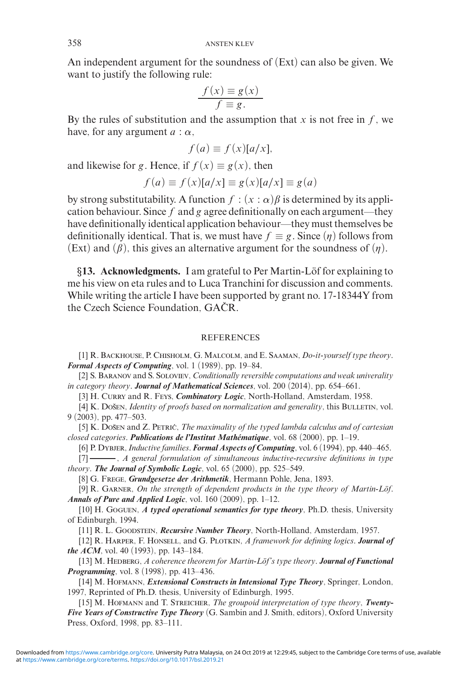An independent argument for the soundness of (Ext) can also be given. We want to justify the following rule:

$$
\frac{f(x) \equiv g(x)}{f \equiv g}.
$$

By the rules of substitution and the assumption that  $x$  is not free in  $f$ , we have, for any argument  $a : \alpha$ ,

$$
f(a) \equiv f(x)[a/x],
$$

and likewise for *g*. Hence, if  $f(x) \equiv g(x)$ , then

$$
f(a) \equiv f(x)[a/x] \equiv g(x)[a/x] \equiv g(a)
$$

by strong substitutability. A function  $f : (x : \alpha) \beta$  is determined by its application behaviour. Since *f* and *g* agree definitionally on each argument—they have definitionally identical application behaviour—they must themselves be definitionally identical. That is, we must have  $f \equiv g$ . Since  $(\eta)$  follows from (Ext) and  $(\beta)$ , this gives an alternative argument for the soundness of  $(\eta)$ .

§13. Acknowledgments. I am grateful to Per Martin-Löf for explaining to me his view on eta rules and to Luca Tranchini for discussion and comments. While writing the article I have been supported by grant no. 17-18344Y from the Czech Science Foundation, GAČR.

### REFERENCES

[1] R. Backhouse, P. Chisholm, G. Malcolm, and E. Saaman, *Do-it-yourself type theory*. *Formal Aspects of Computing*, vol. 1 (1989), pp. 19–84.

[2] S. Baranov and S. Soloviev, *Conditionally reversible computations and weak univerality in category theory*. *Journal of Mathematical Sciences*, vol. 200 (2014), pp. 654–661.

[3] H. CURRY and R. Feys, *Combinatory Logic*, North-Holland, Amsterdam, 1958.

[4] K. Došen, *Identity of proofs based on normalization and generality*, this BULLETIN, vol. 9 (2003), pp. 477–503.

[5] K. Došen and Z. Petric, *The maximality of the typed lambda calculus and of cartesian closed categories*. *Publications de l'Institut Mathematique ´* , vol. 68 (2000), pp. 1–19.

[6] P. Dybjer,*Inductive families*. *Formal Aspects of Computing*, vol. 6 (1994), pp. 440–465.

[7] , *A general formulation of simultaneous inductive-recursive definitions in type theory*. *The Journal of Symbolic Logic*, vol. 65 (2000), pp. 525–549.

[8] G. Frege, *Grundgesetze der Arithmetik*, Hermann Pohle, Jena, 1893.

[9] R. GARNER, *On the strength of dependent products in the type theory of Martin-Löf. Annals of Pure and Applied Logic*, vol. 160 (2009), pp. 1–12.

[10] H. Goguen, *A typed operational semantics for type theory*, Ph.D. thesis, University of Edinburgh, 1994.

[11] R. L. GOODSTEIN, *Recursive Number Theory*, North-Holland, Amsterdam, 1957.

[12] R. Harper, F. Honsell, and G. Plotkin, *A framework for defining logics*. *Journal of the ACM*, vol. 40 (1993), pp. 143–184.

[13] M. HEDBERG, *A coherence theorem for Martin-Löf's type theory*. *Journal of Functional Programming*, vol. 8 (1998), pp. 413–436.

[14] M. HOFMANN, *Extensional Constructs in Intensional Type Theory*, Springer, London, 1997, Reprinted of Ph.D. thesis, University of Edinburgh, 1995.

[15] M. HOFMANN and T. STREICHER, *The groupoid interpretation of type theory*, *Twenty*-*Five Years of Constructive Type Theory* (G. Sambin and J. Smith, editors), Oxford University Press, Oxford, 1998, pp. 83–111.